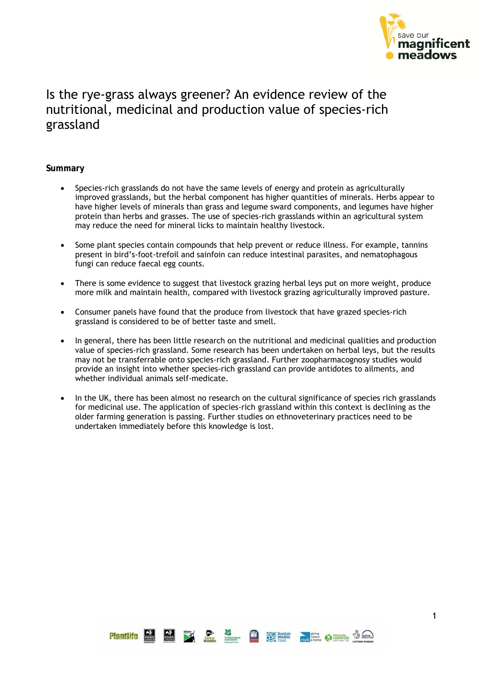

# Is the rye-grass always greener? An evidence review of the nutritional, medicinal and production value of species-rich grassland

#### **Summary**

- Species-rich grasslands do not have the same levels of energy and protein as agriculturally improved grasslands, but the herbal component has higher quantities of minerals. Herbs appear to have higher levels of minerals than grass and legume sward components, and legumes have higher protein than herbs and grasses. The use of species-rich grasslands within an agricultural system may reduce the need for mineral licks to maintain healthy livestock.
- Some plant species contain compounds that help prevent or reduce illness. For example, tannins present in bird's-foot-trefoil and sainfoin can reduce intestinal parasites, and nematophagous fungi can reduce faecal egg counts.
- There is some evidence to suggest that livestock grazing herbal leys put on more weight, produce more milk and maintain health, compared with livestock grazing agriculturally improved pasture.
- Consumer panels have found that the produce from livestock that have grazed species-rich grassland is considered to be of better taste and smell.
- In general, there has been little research on the nutritional and medicinal qualities and production value of species-rich grassland. Some research has been undertaken on herbal leys, but the results may not be transferrable onto species-rich grassland. Further zoopharmacognosy studies would provide an insight into whether species-rich grassland can provide antidotes to ailments, and whether individual animals self-medicate.
- In the UK, there has been almost no research on the cultural significance of species rich grasslands for medicinal use. The application of species-rich grassland within this context is declining as the older farming generation is passing. Further studies on ethnoveterinary practices need to be undertaken immediately before this knowledge is lost.

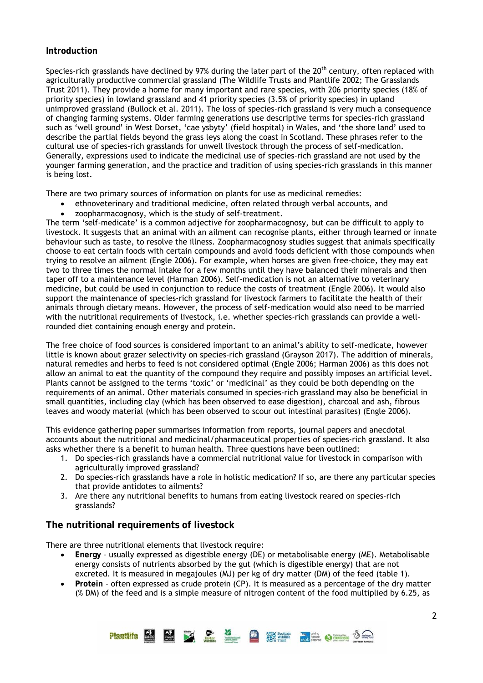### **Introduction**

Species-rich grasslands have declined by 97% during the later part of the  $20<sup>th</sup>$  century, often replaced with agriculturally productive commercial grassland (The Wildlife Trusts and Plantlife 2002; The Grasslands Trust 2011). They provide a home for many important and rare species, with 206 priority species (18% of priority species) in lowland grassland and 41 priority species (3.5% of priority species) in upland unimproved grassland (Bullock et al. 2011). The loss of species-rich grassland is very much a consequence of changing farming systems. Older farming generations use descriptive terms for species-rich grassland such as 'well ground' in West Dorset, 'cae ysbyty' (field hospital) in Wales, and 'the shore land' used to describe the partial fields beyond the grass leys along the coast in Scotland. These phrases refer to the cultural use of species-rich grasslands for unwell livestock through the process of self-medication. Generally, expressions used to indicate the medicinal use of species-rich grassland are not used by the younger farming generation, and the practice and tradition of using species-rich grasslands in this manner is being lost.

There are two primary sources of information on plants for use as medicinal remedies:

- ethnoveterinary and traditional medicine, often related through verbal accounts, and
- zoopharmacognosy, which is the study of self-treatment.

The term 'self-medicate' is a common adjective for zoopharmacognosy, but can be difficult to apply to livestock. It suggests that an animal with an ailment can recognise plants, either through learned or innate behaviour such as taste, to resolve the illness. Zoopharmacognosy studies suggest that animals specifically choose to eat certain foods with certain compounds and avoid foods deficient with those compounds when trying to resolve an ailment (Engle 2006). For example, when horses are given free-choice, they may eat two to three times the normal intake for a few months until they have balanced their minerals and then taper off to a maintenance level (Harman 2006). Self-medication is not an alternative to veterinary medicine, but could be used in conjunction to reduce the costs of treatment (Engle 2006). It would also support the maintenance of species-rich grassland for livestock farmers to facilitate the health of their animals through dietary means. However, the process of self-medication would also need to be married with the nutritional requirements of livestock, i.e. whether species-rich grasslands can provide a wellrounded diet containing enough energy and protein.

The free choice of food sources is considered important to an animal's ability to self-medicate, however little is known about grazer selectivity on species-rich grassland (Grayson 2017). The addition of minerals, natural remedies and herbs to feed is not considered optimal (Engle 2006; Harman 2006) as this does not allow an animal to eat the quantity of the compound they require and possibly imposes an artificial level. Plants cannot be assigned to the terms 'toxic' or 'medicinal' as they could be both depending on the requirements of an animal. Other materials consumed in species-rich grassland may also be beneficial in small quantities, including clay (which has been observed to ease digestion), charcoal and ash, fibrous leaves and woody material (which has been observed to scour out intestinal parasites) (Engle 2006).

This evidence gathering paper summarises information from reports, journal papers and anecdotal accounts about the nutritional and medicinal/pharmaceutical properties of species-rich grassland. It also asks whether there is a benefit to human health. Three questions have been outlined:

- 1. Do species-rich grasslands have a commercial nutritional value for livestock in comparison with agriculturally improved grassland?
- 2. Do species-rich grasslands have a role in holistic medication? If so, are there any particular species that provide antidotes to ailments?
- 3. Are there any nutritional benefits to humans from eating livestock reared on species-rich grasslands?

# **The nutritional requirements of livestock**

There are three nutritional elements that livestock require:

- **Energy** usually expressed as digestible energy (DE) or metabolisable energy (ME). Metabolisable energy consists of nutrients absorbed by the gut (which is digestible energy) that are not excreted. It is measured in megajoules (MJ) per kg of dry matter (DM) of the feed (table 1).
- **Protein** often expressed as crude protein (CP). It is measured as a percentage of the dry matter (% DM) of the feed and is a simple measure of nitrogen content of the food multiplied by 6.25, as

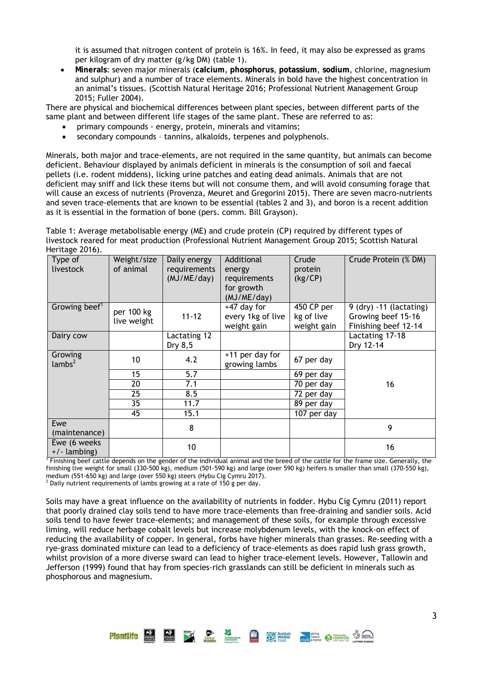it is assumed that nitrogen content of protein is 16%. In feed, it may also be expressed as grams per kilogram of dry matter (g/kg DM) (table 1).

 **Minerals**: seven major minerals (**calcium**, **phosphorus**, **potassium**, **sodium**, chlorine, magnesium and sulphur) and a number of trace elements. Minerals in bold have the highest concentration in an animal's tissues. (Scottish Natural Heritage 2016; Professional Nutrient Management Group 2015; Fuller 2004).

There are physical and biochemical differences between plant species, between different parts of the same plant and between different life stages of the same plant. These are referred to as:

- primary compounds energy, protein, minerals and vitamins;
- secondary compounds tannins, alkaloids, terpenes and polyphenols.

Minerals, both major and trace-elements, are not required in the same quantity, but animals can become deficient. Behaviour displayed by animals deficient in minerals is the consumption of soil and faecal pellets (i.e. rodent middens), licking urine patches and eating dead animals. Animals that are not deficient may sniff and lick these items but will not consume them, and will avoid consuming forage that will cause an excess of nutrients (Provenza, Meuret and Gregorini 2015). There are seven macro-nutrients and seven trace-elements that are known to be essential (tables 2 and 3), and boron is a recent addition as it is essential in the formation of bone (pers. comm. Bill Grayson).

Table 1: Average metabolisable energy (ME) and crude protein (CP) required by different types of livestock reared for meat production (Professional Nutrient Management Group 2015; Scottish Natural Heritage 2016).

| 1151108521010                  |                           |                                             |                                                                   |                                         |                                                                           |
|--------------------------------|---------------------------|---------------------------------------------|-------------------------------------------------------------------|-----------------------------------------|---------------------------------------------------------------------------|
| Type of<br>livestock           | Weight/size<br>of animal  | Daily energy<br>requirements<br>(MJ/ME/day) | Additional<br>energy<br>requirements<br>for growth<br>(MJ/ME/day) | Crude<br>protein<br>(kg/CP)             | Crude Protein (% DM)                                                      |
| Growing beef <sup>1</sup>      | per 100 kg<br>live weight | $11 - 12$                                   | +47 day for<br>every 1kg of live<br>weight gain                   | 450 CP per<br>kg of live<br>weight gain | $9$ (dry) $-11$ (lactating)<br>Growing beef 15-16<br>Finishing beef 12-14 |
| Dairy cow                      |                           | Lactating 12<br>Dry 8,5                     |                                                                   |                                         | Lactating 17-18<br>Dry 12-14                                              |
| Growing<br>lambs <sup>2</sup>  | 10                        | 4.2                                         | +11 per day for<br>growing lambs                                  | 67 per day                              |                                                                           |
|                                | 15                        | 5.7                                         |                                                                   | 69 per day                              |                                                                           |
|                                | 20                        | 7.1                                         |                                                                   | 70 per day                              | 16                                                                        |
|                                | 25                        | 8.5                                         |                                                                   | 72 per day                              |                                                                           |
|                                | 35                        | 11.7                                        |                                                                   | 89 per day                              |                                                                           |
|                                | 45                        | 15.1                                        |                                                                   | 107 per day                             |                                                                           |
| Ewe<br>(maintenance)           |                           | 8                                           |                                                                   |                                         | 9                                                                         |
| Ewe (6 weeks<br>$+/-$ lambing) |                           | 10                                          |                                                                   |                                         | 16                                                                        |

<sup>1</sup> Finishing beef cattle depends on the gender of the individual animal and the breed of the cattle for the frame size. Generally, the finishing live weight for small (330-500 kg), medium (501-590 kg) and large (over 590 kg) heifers is smaller than small (370-550 kg), medium (551-650 kg) and large (over 550 kg) steers (Hybu Cig Cymru 2017).

 $2$  Daily nutrient requirements of lambs growing at a rate of 150 g per day.

Soils may have a great influence on the availability of nutrients in fodder. Hybu Cig Cymru (2011) report that poorly drained clay soils tend to have more trace-elements than free-draining and sandier soils. Acid soils tend to have fewer trace-elements; and management of these soils, for example through excessive liming, will reduce herbage cobalt levels but increase molybdenum levels, with the knock-on effect of reducing the availability of copper. In general, forbs have higher minerals than grasses. Re-seeding with a rye-grass dominated mixture can lead to a deficiency of trace-elements as does rapid lush grass growth, whilst provision of a more diverse sward can lead to higher trace-element levels. However, Tallowin and Jefferson (1999) found that hay from species-rich grasslands can still be deficient in minerals such as phosphorous and magnesium.

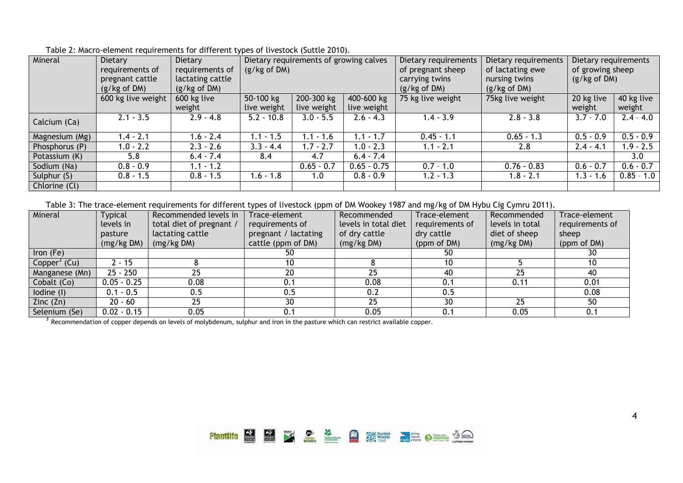| Mineral        | Dietary            | Dietary          |                                       | Dietary requirements of growing calves |                   | Dietary requirements | Dietary requirements | Dietary requirements |              |
|----------------|--------------------|------------------|---------------------------------------|----------------------------------------|-------------------|----------------------|----------------------|----------------------|--------------|
|                | requirements of    | requirements of  | (g/kg of DM)                          |                                        |                   | of pregnant sheep    | of lactating ewe     | of growing sheep     |              |
|                | pregnant cattle    | lactating cattle |                                       |                                        |                   | carrying twins       | nursing twins        | (g/kg of DM)         |              |
|                | (g/kg of DM)       | (g/kg of DM)     |                                       |                                        |                   | (g/kg of DM)         | (g/kg of DM)         |                      |              |
|                | 600 kg live weight | 600 kg live      | 50-100 kg<br>200-300 kg<br>400-600 kg |                                        | 75 kg live weight | 75kg live weight     | 20 kg live           | 40 kg live           |              |
|                |                    | weight           | live weight                           | live weight                            | live weight       |                      |                      | weight               | weight       |
| Calcium (Ca)   | $2.1 - 3.5$        | $2.9 - 4.8$      | $5.2 - 10.8$                          | $3.0 - 5.5$                            | $2.6 - 4.3$       | $1.4 - 3.9$          | $2.8 - 3.8$          | $3.7 - 7.0$          | $2.4 - 4.0$  |
|                |                    |                  |                                       |                                        |                   |                      |                      |                      |              |
| Magnesium (Mg) | $1.4 - 2.1$        | $1.6 - 2.4$      | 1.1 - 1.5                             | 1.1 - 1.6                              | $1.1 - 1.7$       | $0.45 - 1.1$         | $0.65 - 1.3$         | $0.5 - 0.9$          | $0.5 - 0.9$  |
| Phosphorus (P) | $1.0 - 2.2$        | $2.3 - 2.6$      | $3.3 - 4.4$                           | $1.7 - 2.7$                            | $1.0 - 2.3$       | $1.1 - 2.1$          | 2.8                  | $2.4 - 4.1$          | $.9 - 2.5$   |
| Potassium (K)  | 5.8                | $6.4 - 7.4$      | 8.4                                   | 4.7                                    | $6.4 - 7.4$       |                      |                      |                      | 3.0          |
| Sodium (Na)    | $0.8 - 0.9$        | $1.1 - 1.2$      |                                       | $0.65 - 0.7$                           | $0.65 - 0.75$     | $0.7 - 1.0$          | $0.76 - 0.83$        | $0.6 - 0.7$          | $0.6 - 0.7$  |
| Sulphur $(S)$  | $0.8 - 1.5$        | $0.8 - 1.5$      | 1.6 - 1.8                             | 1.0                                    | $0.8 - 0.9$       | $1.2 - 1.3$          | $1.8 - 2.1$          | $1.3 - 1.6$          | $0.85 - 1.0$ |
| Chlorine (Cl)  |                    |                  |                                       |                                        |                   |                      |                      |                      |              |

Table 2: Macro-element requirements for different types of livestock (Suttle 2010).

Table 3: The trace-element requirements for different types of livestock (ppm of DM Wookey 1987 and mg/kg of DM Hybu Cig Cymru 2011).

| Mineral                  | <b>Typical</b> | Recommended levels in    | Trace-element        | Recommended          | Trace-element   | Recommended     | Trace-element   |
|--------------------------|----------------|--------------------------|----------------------|----------------------|-----------------|-----------------|-----------------|
|                          | levels in      | total diet of pregnant / | requirements of      | levels in total diet | requirements of | levels in total | requirements of |
|                          | pasture        | lactating cattle         | pregnant / lactating | of dry cattle        | dry cattle      | diet of sheep   | sheep           |
|                          | (mg/kg DM)     | (mg/kg DM)               | cattle (ppm of DM)   | (mg/kg DM)           | (ppm of DM)     | (mg/kg DM)      | (ppm of DM)     |
| Iron (Fe)                |                |                          | 50                   |                      | 50              |                 | 30              |
| Copper <sup>3</sup> (Cu) | $-15$          |                          | 10                   |                      | 10              |                 | 10              |
| Manganese (Mn)           | $25 - 250$     | 25                       | 20                   | 25                   | 40              | 25              | 40              |
| Cobalt (Co)              | $0.05 - 0.25$  | 0.08                     | 0.1                  | 0.08                 | 0.1             | 0.11            | 0.01            |
| lodine (I)               | $0.1 - 0.5$    | 0.5                      | 0.5                  | 0.2                  | 0.5             |                 | 0.08            |
| Zinc $(Zn)$              | $20 - 60$      | 25                       | 30                   | 25                   | 30              | 25              | 50              |
| Selenium (Se)            | $0.02 - 0.15$  | 0.05                     | 0.1                  | 0.05                 | 0.1             | 0.05            | 0.1             |

 $3 \overline{3}$  Recommendation of copper depends on levels of molybdenum, sulphur and iron in the pasture which can restrict available copper.

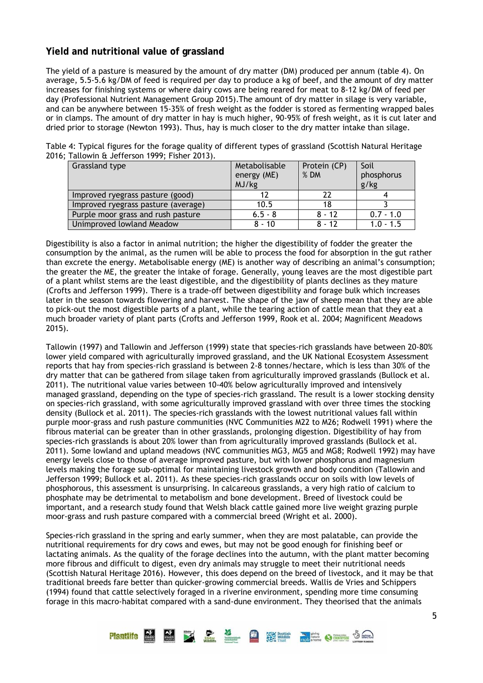# **Yield and nutritional value of grassland**

The yield of a pasture is measured by the amount of dry matter (DM) produced per annum (table 4). On average, 5.5-5.6 kg/DM of feed is required per day to produce a kg of beef, and the amount of dry matter increases for finishing systems or where dairy cows are being reared for meat to 8-12 kg/DM of feed per day (Professional Nutrient Management Group 2015).The amount of dry matter in silage is very variable, and can be anywhere between 15-35% of fresh weight as the fodder is stored as fermenting wrapped bales or in clamps. The amount of dry matter in hay is much higher, 90-95% of fresh weight, as it is cut later and dried prior to storage (Newton 1993). Thus, hay is much closer to the dry matter intake than silage.

| Grassland type                      | Metabolisable | Protein (CP) | Soil        |
|-------------------------------------|---------------|--------------|-------------|
|                                     | energy (ME)   | % DM         | phosphorus  |
|                                     | MJ/kg         |              | g/kg        |
| Improved ryegrass pasture (good)    |               | 22           |             |
| Improved ryegrass pasture (average) | 10.5          | 18           |             |
| Purple moor grass and rush pasture  | $6.5 - 8$     | $8 - 12$     | $0.7 - 1.0$ |
| Unimproved lowland Meadow           | $8 - 10$      | $8 - 12$     | $1.0 - 1.5$ |

Table 4: Typical figures for the forage quality of different types of grassland (Scottish Natural Heritage 2016; Tallowin & Jefferson 1999; Fisher 2013).

Digestibility is also a factor in animal nutrition; the higher the digestibility of fodder the greater the consumption by the animal, as the rumen will be able to process the food for absorption in the gut rather than excrete the energy. Metabolisable energy (ME) is another way of describing an animal's consumption; the greater the ME, the greater the intake of forage. Generally, young leaves are the most digestible part of a plant whilst stems are the least digestible, and the digestibility of plants declines as they mature (Crofts and Jefferson 1999). There is a trade-off between digestibility and forage bulk which increases later in the season towards flowering and harvest. The shape of the jaw of sheep mean that they are able to pick-out the most digestible parts of a plant, while the tearing action of cattle mean that they eat a much broader variety of plant parts (Crofts and Jefferson 1999, Rook et al. 2004; Magnificent Meadows 2015).

Tallowin (1997) and Tallowin and Jefferson (1999) state that species-rich grasslands have between 20-80% lower yield compared with agriculturally improved grassland, and the UK National Ecosystem Assessment reports that hay from species-rich grassland is between 2-8 tonnes/hectare, which is less than 30% of the dry matter that can be gathered from silage taken from agriculturally improved grasslands (Bullock et al. 2011). The nutritional value varies between 10-40% below agriculturally improved and intensively managed grassland, depending on the type of species-rich grassland. The result is a lower stocking density on species-rich grassland, with some agriculturally improved grassland with over three times the stocking density (Bullock et al. 2011). The species-rich grasslands with the lowest nutritional values fall within purple moor-grass and rush pasture communities (NVC Communities M22 to M26; Rodwell 1991) where the fibrous material can be greater than in other grasslands, prolonging digestion. Digestibility of hay from species-rich grasslands is about 20% lower than from agriculturally improved grasslands (Bullock et al. 2011). Some lowland and upland meadows (NVC communities MG3, MG5 and MG8; Rodwell 1992) may have energy levels close to those of average improved pasture, but with lower phosphorus and magnesium levels making the forage sub-optimal for maintaining livestock growth and body condition (Tallowin and Jefferson 1999; Bullock et al. 2011). As these species-rich grasslands occur on soils with low levels of phosphorous, this assessment is unsurprising. In calcareous grasslands, a very high ratio of calcium to phosphate may be detrimental to metabolism and bone development. Breed of livestock could be important, and a research study found that Welsh black cattle gained more live weight grazing purple moor-grass and rush pasture compared with a commercial breed (Wright et al. 2000).

Species-rich grassland in the spring and early summer, when they are most palatable, can provide the nutritional requirements for dry cows and ewes, but may not be good enough for finishing beef or lactating animals. As the quality of the forage declines into the autumn, with the plant matter becoming more fibrous and difficult to digest, even dry animals may struggle to meet their nutritional needs (Scottish Natural Heritage 2016). However, this does depend on the breed of livestock, and it may be that traditional breeds fare better than quicker-growing commercial breeds. Wallis de Vries and Schippers (1994) found that cattle selectively foraged in a riverine environment, spending more time consuming forage in this macro-habitat compared with a sand-dune environment. They theorised that the animals

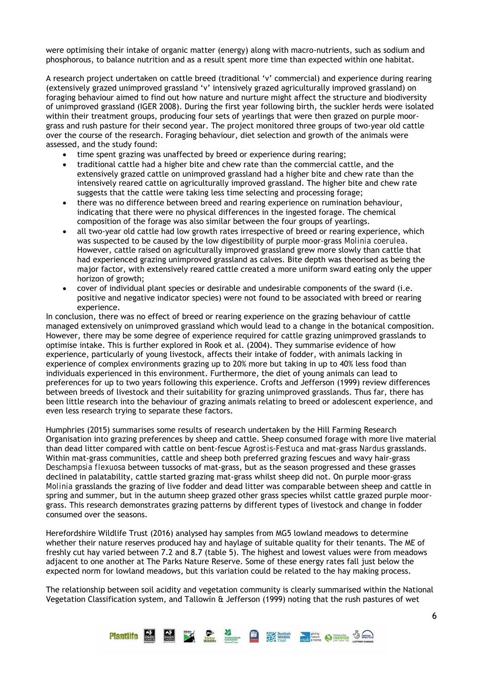were optimising their intake of organic matter (energy) along with macro-nutrients, such as sodium and phosphorous, to balance nutrition and as a result spent more time than expected within one habitat.

A research project undertaken on cattle breed (traditional 'v' commercial) and experience during rearing (extensively grazed unimproved grassland 'v' intensively grazed agriculturally improved grassland) on foraging behaviour aimed to find out how nature and nurture might affect the structure and biodiversity of unimproved grassland (IGER 2008). During the first year following birth, the suckler herds were isolated within their treatment groups, producing four sets of yearlings that were then grazed on purple moorgrass and rush pasture for their second year. The project monitored three groups of two-year old cattle over the course of the research. Foraging behaviour, diet selection and growth of the animals were assessed, and the study found:

- time spent grazing was unaffected by breed or experience during rearing;
- traditional cattle had a higher bite and chew rate than the commercial cattle, and the extensively grazed cattle on unimproved grassland had a higher bite and chew rate than the intensively reared cattle on agriculturally improved grassland. The higher bite and chew rate suggests that the cattle were taking less time selecting and processing forage;
- there was no difference between breed and rearing experience on rumination behaviour, indicating that there were no physical differences in the ingested forage. The chemical composition of the forage was also similar between the four groups of yearlings.
- all two-year old cattle had low growth rates irrespective of breed or rearing experience, which was suspected to be caused by the low digestibility of purple moor-grass *Molinia coerulea*. However, cattle raised on agriculturally improved grassland grew more slowly than cattle that had experienced grazing unimproved grassland as calves. Bite depth was theorised as being the major factor, with extensively reared cattle created a more uniform sward eating only the upper horizon of growth;
- cover of individual plant species or desirable and undesirable components of the sward (i.e. positive and negative indicator species) were not found to be associated with breed or rearing experience.

In conclusion, there was no effect of breed or rearing experience on the grazing behaviour of cattle managed extensively on unimproved grassland which would lead to a change in the botanical composition. However, there may be some degree of experience required for cattle grazing unimproved grasslands to optimise intake. This is further explored in Rook et al. (2004). They summarise evidence of how experience, particularly of young livestock, affects their intake of fodder, with animals lacking in experience of complex environments grazing up to 20% more but taking in up to 40% less food than individuals experienced in this environment. Furthermore, the diet of young animals can lead to preferences for up to two years following this experience. Crofts and Jefferson (1999) review differences between breeds of livestock and their suitability for grazing unimproved grasslands. Thus far, there has been little research into the behaviour of grazing animals relating to breed or adolescent experience, and even less research trying to separate these factors.

Humphries (2015) summarises some results of research undertaken by the Hill Farming Research Organisation into grazing preferences by sheep and cattle. Sheep consumed forage with more live material than dead litter compared with cattle on bent-fescue *Agrostis*-*Festuca* and mat-grass *Nardus* grasslands. Within mat-grass communities, cattle and sheep both preferred grazing fescues and wavy hair-grass *Deschampsia flexuosa* between tussocks of mat-grass, but as the season progressed and these grasses declined in palatability, cattle started grazing mat-grass whilst sheep did not. On purple moor-grass *Molinia* grasslands the grazing of live fodder and dead litter was comparable between sheep and cattle in spring and summer, but in the autumn sheep grazed other grass species whilst cattle grazed purple moorgrass. This research demonstrates grazing patterns by different types of livestock and change in fodder consumed over the seasons.

Herefordshire Wildlife Trust (2016) analysed hay samples from MG5 lowland meadows to determine whether their nature reserves produced hay and haylage of suitable quality for their tenants. The ME of freshly cut hay varied between 7.2 and 8.7 (table 5). The highest and lowest values were from meadows adjacent to one another at The Parks Nature Reserve. Some of these energy rates fall just below the expected norm for lowland meadows, but this variation could be related to the hay making process.

The relationship between soil acidity and vegetation community is clearly summarised within the National Vegetation Classification system, and Tallowin & Jefferson (1999) noting that the rush pastures of wet

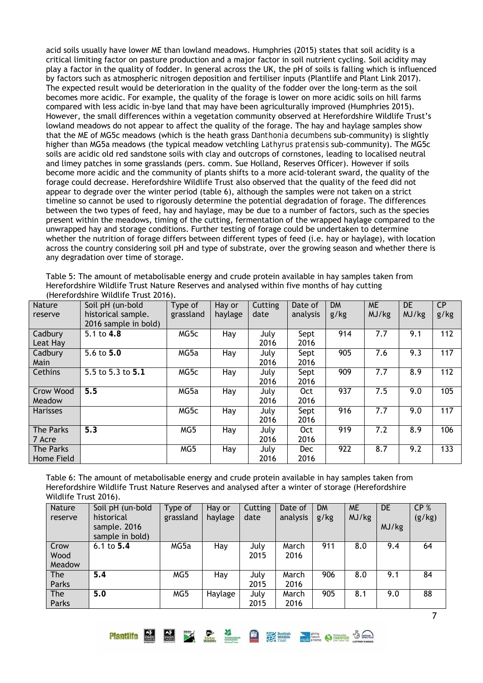acid soils usually have lower ME than lowland meadows. Humphries (2015) states that soil acidity is a critical limiting factor on pasture production and a major factor in soil nutrient cycling. Soil acidity may play a factor in the quality of fodder. In general across the UK, the pH of soils is falling which is influenced by factors such as atmospheric nitrogen deposition and fertiliser inputs (Plantlife and Plant Link 2017). The expected result would be deterioration in the quality of the fodder over the long-term as the soil becomes more acidic. For example, the quality of the forage is lower on more acidic soils on hill farms compared with less acidic in-bye land that may have been agriculturally improved (Humphries 2015). However, the small differences within a vegetation community observed at Herefordshire Wildlife Trust's lowland meadows do not appear to affect the quality of the forage. The hay and haylage samples show that the ME of MG5c meadows (which is the heath grass *Danthonia decumbens* sub-community) is slightly higher than MG5a meadows (the typical meadow vetchling *Lathyrus pratensis* sub-community). The MG5c soils are acidic old red sandstone soils with clay and outcrops of cornstones, leading to localised neutral and limey patches in some grasslands (pers. comm. Sue Holland, Reserves Officer). However if soils become more acidic and the community of plants shifts to a more acid-tolerant sward, the quality of the forage could decrease. Herefordshire Wildlife Trust also observed that the quality of the feed did not appear to degrade over the winter period (table 6), although the samples were not taken on a strict timeline so cannot be used to rigorously determine the potential degradation of forage. The differences between the two types of feed, hay and haylage, may be due to a number of factors, such as the species present within the meadows, timing of the cutting, fermentation of the wrapped haylage compared to the unwrapped hay and storage conditions. Further testing of forage could be undertaken to determine whether the nutrition of forage differs between different types of feed (i.e. hay or haylage), with location across the country considering soil pH and type of substrate, over the growing season and whether there is any degradation over time of storage.

| Table 5: The amount of metabolisable energy and crude protein available in hay samples taken from |
|---------------------------------------------------------------------------------------------------|
| Herefordshire Wildlife Trust Nature Reserves and analysed within five months of hay cutting       |
| (Herefordshire Wildlife Trust 2016).                                                              |

| <b>Nature</b>   | Soil pH (un-bold        | Type of   | Hay or  | Cutting | Date of    | <b>DM</b> | <b>ME</b> | DE    | <b>CP</b> |
|-----------------|-------------------------|-----------|---------|---------|------------|-----------|-----------|-------|-----------|
| reserve         | historical sample.      | grassland | haylage | date    | analysis   | g/kg      | MJ/kg     | MJ/kg | g/kg      |
|                 | 2016 sample in bold)    |           |         |         |            |           |           |       |           |
| Cadbury         | 5.1 to 4.8              | MG5c      | Hay     | July    | Sept       | 914       | 7.7       | 9.1   | 112       |
| Leat Hay        |                         |           |         | 2016    | 2016       |           |           |       |           |
| Cadbury         | 5.6 to $5.\overline{0}$ | MG5a      | Hay     | July    | Sept       | 905       | 7.6       | 9.3   | 117       |
| Main            |                         |           |         | 2016    | 2016       |           |           |       |           |
| Cethins         | 5.5 to 5.3 to 5.1       | MG5c      | Hay     | July    | Sept       | 909       | 7.7       | 8.9   | 112       |
|                 |                         |           |         | 2016    | 2016       |           |           |       |           |
| Crow Wood       | 5.5                     | MG5a      | Hay     | July    | <b>Oct</b> | 937       | 7.5       | 9.0   | 105       |
| Meadow          |                         |           |         | 2016    | 2016       |           |           |       |           |
| <b>Harisses</b> |                         | MG5c      | Hay     | July    | Sept       | 916       | 7.7       | 9.0   | 117       |
|                 |                         |           |         | 2016    | 2016       |           |           |       |           |
| The Parks       | 5.3                     | MG5       | Hay     | July    | <b>Oct</b> | 919       | 7.2       | 8.9   | 106       |
| 7 Acre          |                         |           |         | 2016    | 2016       |           |           |       |           |
| The Parks       |                         | MG5       | Hay     | July    | <b>Dec</b> | 922       | 8.7       | 9.2   | 133       |
| Home Field      |                         |           |         | 2016    | 2016       |           |           |       |           |

Table 6: The amount of metabolisable energy and crude protein available in hay samples taken from Herefordshire Wildlife Trust Nature Reserves and analysed after a winter of storage (Herefordshire Wildlife Trust 2016).

| Nature<br>reserve      | Soil pH (un-bold<br>historical<br>sample. 2016<br>sample in bold) | Type of<br>grassland | Hay or<br>haylage | Cutting<br>date | Date of<br>analysis | <b>DM</b><br>g/kg | <b>ME</b><br>MJ/kg | <b>DE</b><br>MJ/kg | CP <sub>%</sub><br>(g/kg) |
|------------------------|-------------------------------------------------------------------|----------------------|-------------------|-----------------|---------------------|-------------------|--------------------|--------------------|---------------------------|
| Crow<br>Wood<br>Meadow | 6.1 to $5.4$                                                      | MG5a                 | Hay               | July<br>2015    | March<br>2016       | 911               | 8.0                | 9.4                | 64                        |
| <b>The</b><br>Parks    | 5.4                                                               | MG5                  | Hay               | July<br>2015    | March<br>2016       | 906               | 8.0                | 9.1                | 84                        |
| <b>The</b><br>Parks    | 5.0                                                               | MG5                  | Haylage           | July<br>2015    | March<br>2016       | 905               | 8.1                | 9.0                | 88                        |

Plantlife **NEW DE SO SECURITY AND STATE** OF STRAIGHTEND COMPUTER OF STRAIGHTEND COMPUTER OF STRAIGHT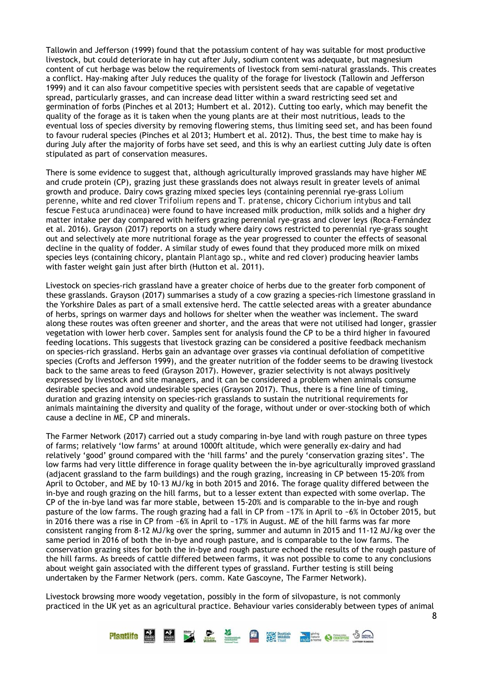Tallowin and Jefferson (1999) found that the potassium content of hay was suitable for most productive livestock, but could deteriorate in hay cut after July, sodium content was adequate, but magnesium content of cut herbage was below the requirements of livestock from semi-natural grasslands. This creates a conflict. Hay-making after July reduces the quality of the forage for livestock (Tallowin and Jefferson 1999) and it can also favour competitive species with persistent seeds that are capable of vegetative spread, particularly grasses, and can increase dead litter within a sward restricting seed set and germination of forbs (Pinches et al 2013; Humbert et al. 2012). Cutting too early, which may benefit the quality of the forage as it is taken when the young plants are at their most nutritious, leads to the eventual loss of species diversity by removing flowering stems, thus limiting seed set, and has been found to favour ruderal species (Pinches et al 2013; Humbert et al. 2012). Thus, the best time to make hay is during July after the majority of forbs have set seed, and this is why an earliest cutting July date is often stipulated as part of conservation measures.

There is some evidence to suggest that, although agriculturally improved grasslands may have higher ME and crude protein (CP), grazing just these grasslands does not always result in greater levels of animal growth and produce. Dairy cows grazing mixed species leys (containing perennial rye-grass *Lolium perenne*, white and red clover *Trifolium repens* and *T. pratense*, chicory *Cichorium intybus* and tall fescue *Festuca arundinacea*) were found to have increased milk production, milk solids and a higher dry matter intake per day compared with heifers grazing perennial rye-grass and clover leys (Roca-Fernández et al. 2016). Grayson (2017) reports on a study where dairy cows restricted to perennial rye-grass sought out and selectively ate more nutritional forage as the year progressed to counter the effects of seasonal decline in the quality of fodder. A similar study of ewes found that they produced more milk on mixed species leys (containing chicory, plantain *Plantago* sp., white and red clover) producing heavier lambs with faster weight gain just after birth (Hutton et al. 2011).

Livestock on species-rich grassland have a greater choice of herbs due to the greater forb component of these grasslands. Grayson (2017) summarises a study of a cow grazing a species-rich limestone grassland in the Yorkshire Dales as part of a small extensive herd. The cattle selected areas with a greater abundance of herbs, springs on warmer days and hollows for shelter when the weather was inclement. The sward along these routes was often greener and shorter, and the areas that were not utilised had longer, grassier vegetation with lower herb cover. Samples sent for analysis found the CP to be a third higher in favoured feeding locations. This suggests that livestock grazing can be considered a positive feedback mechanism on species-rich grassland. Herbs gain an advantage over grasses via continual defoliation of competitive species (Crofts and Jefferson 1999), and the greater nutrition of the fodder seems to be drawing livestock back to the same areas to feed (Grayson 2017). However, grazier selectivity is not always positively expressed by livestock and site managers, and it can be considered a problem when animals consume desirable species and avoid undesirable species (Grayson 2017). Thus, there is a fine line of timing, duration and grazing intensity on species-rich grasslands to sustain the nutritional requirements for animals maintaining the diversity and quality of the forage, without under or over-stocking both of which cause a decline in ME, CP and minerals.

The Farmer Network (2017) carried out a study comparing in-bye land with rough pasture on three types of farms; relatively 'low farms' at around 1000ft altitude, which were generally ex-dairy and had relatively 'good' ground compared with the 'hill farms' and the purely 'conservation grazing sites'. The low farms had very little difference in forage quality between the in-bye agriculturally improved grassland (adjacent grassland to the farm buildings) and the rough grazing, increasing in CP between 15-20% from April to October, and ME by 10-13 MJ/kg in both 2015 and 2016. The forage quality differed between the in-bye and rough grazing on the hill farms, but to a lesser extent than expected with some overlap. The CP of the in-bye land was far more stable, between 15-20% and is comparable to the in-bye and rough pasture of the low farms. The rough grazing had a fall in CP from ~17% in April to ~6% in October 2015, but in 2016 there was a rise in CP from ~6% in April to ~17% in August. ME of the hill farms was far more consistent ranging from 8-12 MJ/kg over the spring, summer and autumn in 2015 and 11-12 MJ/kg over the same period in 2016 of both the in-bye and rough pasture, and is comparable to the low farms. The conservation grazing sites for both the in-bye and rough pasture echoed the results of the rough pasture of the hill farms. As breeds of cattle differed between farms, it was not possible to come to any conclusions about weight gain associated with the different types of grassland. Further testing is still being undertaken by the Farmer Network (pers. comm. Kate Gascoyne, The Farmer Network).

Livestock browsing more woody vegetation, possibly in the form of silvopasture, is not commonly practiced in the UK yet as an agricultural practice. Behaviour varies considerably between types of animal



8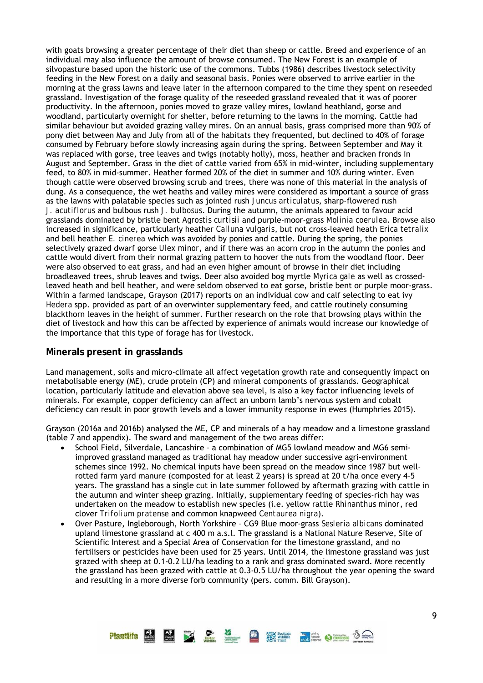with goats browsing a greater percentage of their diet than sheep or cattle. Breed and experience of an individual may also influence the amount of browse consumed. The New Forest is an example of silvopasture based upon the historic use of the commons. Tubbs (1986) describes livestock selectivity feeding in the New Forest on a daily and seasonal basis. Ponies were observed to arrive earlier in the morning at the grass lawns and leave later in the afternoon compared to the time they spent on reseeded grassland. Investigation of the forage quality of the reseeded grassland revealed that it was of poorer productivity. In the afternoon, ponies moved to graze valley mires, lowland heathland, gorse and woodland, particularly overnight for shelter, before returning to the lawns in the morning. Cattle had similar behaviour but avoided grazing valley mires. On an annual basis, grass comprised more than 90% of pony diet between May and July from all of the habitats they frequented, but declined to 40% of forage consumed by February before slowly increasing again during the spring. Between September and May it was replaced with gorse, tree leaves and twigs (notably holly), moss, heather and bracken fronds in August and September. Grass in the diet of cattle varied from 65% in mid-winter, including supplementary feed, to 80% in mid-summer. Heather formed 20% of the diet in summer and 10% during winter. Even though cattle were observed browsing scrub and trees, there was none of this material in the analysis of dung. As a consequence, the wet heaths and valley mires were considered as important a source of grass as the lawns with palatable species such as jointed rush *Juncus articulatus*, sharp-flowered rush *J. acutiflorus* and bulbous rush *J. bulbosus*. During the autumn, the animals appeared to favour acid grasslands dominated by bristle bent *Agrostis curtisii* and purple-moor-grass *Molinia coerulea*. Browse also increased in significance, particularly heather *Calluna vulgaris*, but not cross-leaved heath *Erica tetralix* and bell heather *E. cinerea* which was avoided by ponies and cattle. During the spring, the ponies selectively grazed dwarf gorse *Ulex minor*, and if there was an acorn crop in the autumn the ponies and cattle would divert from their normal grazing pattern to hoover the nuts from the woodland floor. Deer were also observed to eat grass, and had an even higher amount of browse in their diet including broadleaved trees, shrub leaves and twigs. Deer also avoided bog myrtle *Myrica gale* as well as crossedleaved heath and bell heather, and were seldom observed to eat gorse, bristle bent or purple moor-grass. Within a farmed landscape, Grayson (2017) reports on an individual cow and calf selecting to eat ivy *Hedera* spp. provided as part of an overwinter supplementary feed, and cattle routinely consuming blackthorn leaves in the height of summer. Further research on the role that browsing plays within the diet of livestock and how this can be affected by experience of animals would increase our knowledge of the importance that this type of forage has for livestock.

# **Minerals present in grasslands**

Land management, soils and micro-climate all affect vegetation growth rate and consequently impact on metabolisable energy (ME), crude protein (CP) and mineral components of grasslands. Geographical location, particularly latitude and elevation above sea level, is also a key factor influencing levels of minerals. For example, copper deficiency can affect an unborn lamb's nervous system and cobalt deficiency can result in poor growth levels and a lower immunity response in ewes (Humphries 2015).

Grayson (2016a and 2016b) analysed the ME, CP and minerals of a hay meadow and a limestone grassland (table 7 and appendix). The sward and management of the two areas differ:

- School Field, Silverdale, Lancashire a combination of MG5 lowland meadow and MG6 semiimproved grassland managed as traditional hay meadow under successive agri-environment schemes since 1992. No chemical inputs have been spread on the meadow since 1987 but wellrotted farm yard manure (composted for at least 2 years) is spread at 20 t/ha once every 4-5 years. The grassland has a single cut in late summer followed by aftermath grazing with cattle in the autumn and winter sheep grazing. Initially, supplementary feeding of species-rich hay was undertaken on the meadow to establish new species (i.e. yellow rattle *Rhinanthus minor*, red clover *Trifolium pratense* and common knapweed *Centaurea nigra*).
- Over Pasture, Ingleborough, North Yorkshire CG9 Blue moor-grass *Sesleria albicans* dominated upland limestone grassland at c 400 m a.s.l. The grassland is a National Nature Reserve, Site of Scientific Interest and a Special Area of Conservation for the limestone grassland, and no fertilisers or pesticides have been used for 25 years. Until 2014, the limestone grassland was just grazed with sheep at 0.1-0.2 LU/ha leading to a rank and grass dominated sward. More recently the grassland has been grazed with cattle at 0.3-0.5 LU/ha throughout the year opening the sward and resulting in a more diverse forb community (pers. comm. Bill Grayson).

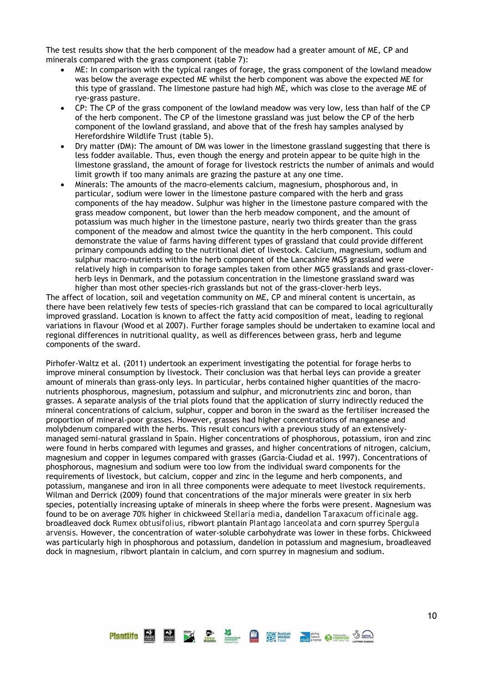The test results show that the herb component of the meadow had a greater amount of ME, CP and minerals compared with the grass component (table 7):

- ME: In comparison with the typical ranges of forage, the grass component of the lowland meadow was below the average expected ME whilst the herb component was above the expected ME for this type of grassland. The limestone pasture had high ME, which was close to the average ME of rye-grass pasture.
- CP: The CP of the grass component of the lowland meadow was very low, less than half of the CP of the herb component. The CP of the limestone grassland was just below the CP of the herb component of the lowland grassland, and above that of the fresh hay samples analysed by Herefordshire Wildlife Trust (table 5).
- Dry matter (DM): The amount of DM was lower in the limestone grassland suggesting that there is less fodder available. Thus, even though the energy and protein appear to be quite high in the limestone grassland, the amount of forage for livestock restricts the number of animals and would limit growth if too many animals are grazing the pasture at any one time.
- Minerals: The amounts of the macro-elements calcium, magnesium, phosphorous and, in particular, sodium were lower in the limestone pasture compared with the herb and grass components of the hay meadow. Sulphur was higher in the limestone pasture compared with the grass meadow component, but lower than the herb meadow component, and the amount of potassium was much higher in the limestone pasture, nearly two thirds greater than the grass component of the meadow and almost twice the quantity in the herb component. This could demonstrate the value of farms having different types of grassland that could provide different primary compounds adding to the nutritional diet of livestock. Calcium, magnesium, sodium and sulphur macro-nutrients within the herb component of the Lancashire MG5 grassland were relatively high in comparison to forage samples taken from other MG5 grasslands and grass-cloverherb leys in Denmark, and the potassium concentration in the limestone grassland sward was higher than most other species-rich grasslands but not of the grass-clover-herb leys.

The affect of location, soil and vegetation community on ME, CP and mineral content is uncertain, as there have been relatively few tests of species-rich grassland that can be compared to local agriculturally improved grassland. Location is known to affect the fatty acid composition of meat, leading to regional variations in flavour (Wood et al 2007). Further forage samples should be undertaken to examine local and regional differences in nutritional quality, as well as differences between grass, herb and legume components of the sward.

Pirhofer-Waltz et al. (2011) undertook an experiment investigating the potential for forage herbs to improve mineral consumption by livestock. Their conclusion was that herbal leys can provide a greater amount of minerals than grass-only leys. In particular, herbs contained higher quantities of the macronutrients phosphorous, magnesium, potassium and sulphur, and micronutrients zinc and boron, than grasses. A separate analysis of the trial plots found that the application of slurry indirectly reduced the mineral concentrations of calcium, sulphur, copper and boron in the sward as the fertiliser increased the proportion of mineral-poor grasses. However, grasses had higher concentrations of manganese and molybdenum compared with the herbs. This result concurs with a previous study of an extensivelymanaged semi-natural grassland in Spain. Higher concentrations of phosphorous, potassium, iron and zinc were found in herbs compared with legumes and grasses, and higher concentrations of nitrogen, calcium, magnesium and copper in legumes compared with grasses (García-Ciudad et al. 1997). Concentrations of phosphorous, magnesium and sodium were too low from the individual sward components for the requirements of livestock, but calcium, copper and zinc in the legume and herb components, and potassium, manganese and iron in all three components were adequate to meet livestock requirements. Wilman and Derrick (2009) found that concentrations of the major minerals were greater in six herb species, potentially increasing uptake of minerals in sheep where the forbs were present. Magnesium was found to be on average 70% higher in chickweed *Stellaria media*, dandelion *Taraxacum officinale* agg. broadleaved dock *Rumex obtusifolius*, ribwort plantain *Plantago lanceolata* and corn spurrey *Spergula arvensis*. However, the concentration of water-soluble carbohydrate was lower in these forbs. Chickweed was particularly high in phosphorous and potassium, dandelion in potassium and magnesium, broadleaved dock in magnesium, ribwort plantain in calcium, and corn spurrey in magnesium and sodium.

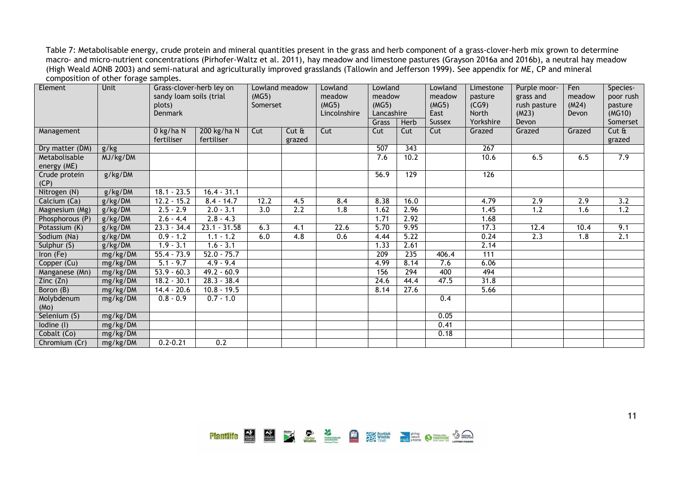Table 7: Metabolisable energy, crude protein and mineral quantities present in the grass and herb component of a grass-clover-herb mix grown to determine macro- and micro-nutrient concentrations (Pirhofer-Waltz et al. 2011), hay meadow and limestone pastures (Grayson 2016a and 2016b), a neutral hay meadow (High Weald AONB 2003) and semi-natural and agriculturally improved grasslands (Tallowin and Jefferson 1999). See appendix for ME, CP and mineral composition of other forage samples.

| Element                                | <b>Unit</b> | Lowland meadow<br>Grass-clover-herb ley on<br>sandy loam soils (trial<br>(MG5)<br>plots)<br>Somerset<br>Denmark |                           |                  | Lowland<br>meadow<br>(MG5)<br>Lincolnshire | Lowland<br>meadow<br>(MG5)<br>Lancashire |       | Lowland<br>meadow<br>(MG5)<br>East | Limestone<br>pasture<br>(CG9)<br><b>North</b> | Purple moor-<br>grass and<br>rush pasture<br>(M23) | Fen<br>meadow<br>(M24)<br>Devon | Species-<br>poor rush<br>pasture<br>(MG10) |                    |
|----------------------------------------|-------------|-----------------------------------------------------------------------------------------------------------------|---------------------------|------------------|--------------------------------------------|------------------------------------------|-------|------------------------------------|-----------------------------------------------|----------------------------------------------------|---------------------------------|--------------------------------------------|--------------------|
|                                        |             |                                                                                                                 |                           |                  |                                            |                                          | Grass | Herb                               | <b>Sussex</b>                                 | Yorkshire                                          | Devon                           |                                            | Somerset           |
| Management                             |             | 0 kg/ha N<br>fertiliser                                                                                         | 200 kg/ha N<br>fertiliser | Cut              | Cut <sub>ft</sub><br>grazed                | Cut                                      | Cut   | Cut                                | Cut                                           | Grazed                                             | Grazed                          | Grazed                                     | $Cut \&$<br>grazed |
| Dry matter (DM)                        | g/kg        |                                                                                                                 |                           |                  |                                            |                                          | 507   | 343                                |                                               | $\overline{267}$                                   |                                 |                                            |                    |
| Metabolisable<br>energy (ME)           | MJ/kg/DM    |                                                                                                                 |                           |                  |                                            |                                          | 7.6   | 10.2                               |                                               | 10.6                                               | 6.5                             | 6.5                                        | 7.9                |
| Crude protein<br>(CP)                  | g/kg/DM     |                                                                                                                 |                           |                  |                                            |                                          | 56.9  | 129                                |                                               | 126                                                |                                 |                                            |                    |
| Nitrogen (N)                           | g/kg/DM     | $18.1 - 23.5$                                                                                                   | $16.4 - 31.1$             |                  |                                            |                                          |       |                                    |                                               |                                                    |                                 |                                            |                    |
| Calcium (Ca)                           | g/kg/DM     | $12.2 - 15.2$                                                                                                   | $8.4 - 14.7$              | 12.2             | 4.5                                        | 8.4                                      | 8.38  | 16.0                               |                                               | 4.79                                               | 2.9                             | 2.9                                        | $\overline{3.2}$   |
| Magnesium (Mg)                         | g/kg/DM     | $2.5 - 2.9$                                                                                                     | $2.0 - 3.1$               | $\overline{3.0}$ | 2.2                                        | 1.8                                      | 1.62  | 2.96                               |                                               | 1.45                                               | 1.2                             | 1.6                                        | 1.2                |
| Phosphorous (P)                        | g/kg/DM     | $2.6 - 4.4$                                                                                                     | $2.8 - 4.3$               |                  |                                            |                                          | 1.71  | 2.92                               |                                               | 1.68                                               |                                 |                                            |                    |
| Potassium (K)                          | g/kg/DM     | $23.3 - 34.4$                                                                                                   | $23.1 - 31.58$            | 6.3              | 4.1                                        | 22.6                                     | 5.70  | 9.95                               |                                               | 17.3                                               | 12.4                            | 10.4                                       | 9.1                |
| Sodium (Na)                            | g/kg/DM     | $0.9 - 1.2$                                                                                                     | $1.1 - 1.2$               | 6.0              | 4.8                                        | 0.6                                      | 4.44  | 5.22                               |                                               | 0.24                                               | 2.3                             | 1.8                                        | 2.1                |
| Sulphur (S)                            | g/kg/DM     | $1.9 - 3.1$                                                                                                     | $1.6 - 3.1$               |                  |                                            |                                          | 1.33  | 2.61                               |                                               | 2.14                                               |                                 |                                            |                    |
| Iron (Fe)                              | mg/kg/DM    | $55.4 - 73.9$                                                                                                   | $52.0 - 75.7$             |                  |                                            |                                          | 209   | 235                                | 406.4                                         | 111                                                |                                 |                                            |                    |
| Copper (Cu)                            | mg/kg/DM    | $5.1 - 9.7$                                                                                                     | $4.9 - 9.4$               |                  |                                            |                                          | 4.99  | 8.14                               | 7.6                                           | 6.06                                               |                                 |                                            |                    |
| Manganese (Mn)                         | mg/kg/DM    | $53.9 - 60.3$                                                                                                   | $49.2 - 60.9$             |                  |                                            |                                          | 156   | 294                                | 400                                           | 494                                                |                                 |                                            |                    |
| $\overline{Z}$ inc ( $\overline{Z}$ n) | mg/kg/DM    | $18.2 - 30.1$                                                                                                   | $28.3 - 38.4$             |                  |                                            |                                          | 24.6  | 44.4                               | 47.5                                          | 31.8                                               |                                 |                                            |                    |
| Boron (B)                              | mg/kg/DM    | $14.4 - 20.6$                                                                                                   | $10.8 - 19.5$             |                  |                                            |                                          | 8.14  | 27.6                               |                                               | 5.66                                               |                                 |                                            |                    |
| Molybdenum                             | mg/kg/DM    | $0.8 - 0.9$                                                                                                     | $0.7 - 1.0$               |                  |                                            |                                          |       |                                    | 0.4                                           |                                                    |                                 |                                            |                    |
| (Mo)                                   |             |                                                                                                                 |                           |                  |                                            |                                          |       |                                    |                                               |                                                    |                                 |                                            |                    |
| Selenium (S)                           | mg/kg/DM    |                                                                                                                 |                           |                  |                                            |                                          |       |                                    | 0.05                                          |                                                    |                                 |                                            |                    |
| lodine (I)                             | mg/kg/DM    |                                                                                                                 |                           |                  |                                            |                                          |       |                                    | 0.41                                          |                                                    |                                 |                                            |                    |
| Cobalt (Co)                            | mg/kg/DM    |                                                                                                                 |                           |                  |                                            |                                          |       |                                    | 0.18                                          |                                                    |                                 |                                            |                    |
| Chromium (Cr)                          | mg/kg/DM    | $0.2 - 0.21$                                                                                                    | 0.2                       |                  |                                            |                                          |       |                                    |                                               |                                                    |                                 |                                            |                    |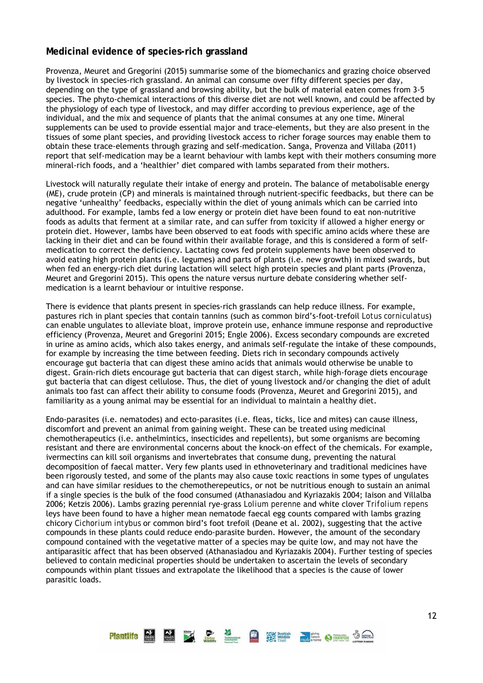# **Medicinal evidence of species-rich grassland**

Provenza, Meuret and Gregorini (2015) summarise some of the biomechanics and grazing choice observed by livestock in species-rich grassland. An animal can consume over fifty different species per day, depending on the type of grassland and browsing ability, but the bulk of material eaten comes from 3-5 species. The phyto-chemical interactions of this diverse diet are not well known, and could be affected by the physiology of each type of livestock, and may differ according to previous experience, age of the individual, and the mix and sequence of plants that the animal consumes at any one time. Mineral supplements can be used to provide essential major and trace-elements, but they are also present in the tissues of some plant species, and providing livestock access to richer forage sources may enable them to obtain these trace-elements through grazing and self-medication. Sanga, Provenza and Villaba (2011) report that self-medication may be a learnt behaviour with lambs kept with their mothers consuming more mineral-rich foods, and a 'healthier' diet compared with lambs separated from their mothers.

Livestock will naturally regulate their intake of energy and protein. The balance of metabolisable energy (ME), crude protein (CP) and minerals is maintained through nutrient-specific feedbacks, but there can be negative 'unhealthy' feedbacks, especially within the diet of young animals which can be carried into adulthood. For example, lambs fed a low energy or protein diet have been found to eat non-nutritive foods as adults that ferment at a similar rate, and can suffer from toxicity if allowed a higher energy or protein diet. However, lambs have been observed to eat foods with specific amino acids where these are lacking in their diet and can be found within their available forage, and this is considered a form of selfmedication to correct the deficiency. Lactating cows fed protein supplements have been observed to avoid eating high protein plants (i.e. legumes) and parts of plants (i.e. new growth) in mixed swards, but when fed an energy-rich diet during lactation will select high protein species and plant parts (Provenza, Meuret and Gregorini 2015). This opens the nature versus nurture debate considering whether selfmedication is a learnt behaviour or intuitive response.

There is evidence that plants present in species-rich grasslands can help reduce illness. For example, pastures rich in plant species that contain tannins (such as common bird's-foot-trefoil *Lotus corniculatus*) can enable ungulates to alleviate bloat, improve protein use, enhance immune response and reproductive efficiency (Provenza, Meuret and Gregorini 2015; Engle 2006). Excess secondary compounds are excreted in urine as amino acids, which also takes energy, and animals self-regulate the intake of these compounds, for example by increasing the time between feeding. Diets rich in secondary compounds actively encourage gut bacteria that can digest these amino acids that animals would otherwise be unable to digest. Grain-rich diets encourage gut bacteria that can digest starch, while high-forage diets encourage gut bacteria that can digest cellulose. Thus, the diet of young livestock and/or changing the diet of adult animals too fast can affect their ability to consume foods (Provenza, Meuret and Gregorini 2015), and familiarity as a young animal may be essential for an individual to maintain a healthy diet.

Endo-parasites (i.e. nematodes) and ecto-parasites (i.e. fleas, ticks, lice and mites) can cause illness, discomfort and prevent an animal from gaining weight. These can be treated using medicinal chemotherapeutics (i.e. anthelmintics, insecticides and repellents), but some organisms are becoming resistant and there are environmental concerns about the knock-on effect of the chemicals. For example, ivermectins can kill soil organisms and invertebrates that consume dung, preventing the natural decomposition of faecal matter. Very few plants used in ethnoveterinary and traditional medicines have been rigorously tested, and some of the plants may also cause toxic reactions in some types of ungulates and can have similar residues to the chemotherepeutics, or not be nutritious enough to sustain an animal if a single species is the bulk of the food consumed (Athanasiadou and Kyriazakis 2004; Iaison and Villalba 2006; Ketzis 2006). Lambs grazing perennial rye-grass *Lolium perenne* and white clover *Trifolium repens* leys have been found to have a higher mean nematode faecal egg counts compared with lambs grazing chicory *Cichorium intybus* or common bird's foot trefoil (Deane et al. 2002), suggesting that the active compounds in these plants could reduce endo-parasite burden. However, the amount of the secondary compound contained with the vegetative matter of a species may be quite low, and may not have the antiparasitic affect that has been observed (Athanasiadou and Kyriazakis 2004). Further testing of species believed to contain medicinal properties should be undertaken to ascertain the levels of secondary compounds within plant tissues and extrapolate the likelihood that a species is the cause of lower parasitic loads.

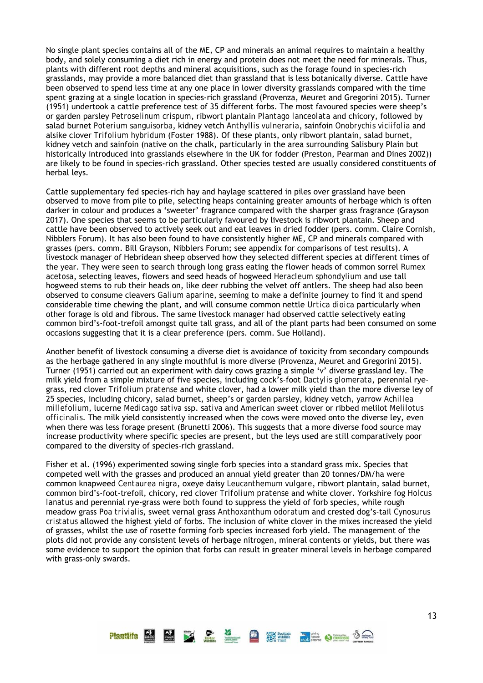No single plant species contains all of the ME, CP and minerals an animal requires to maintain a healthy body, and solely consuming a diet rich in energy and protein does not meet the need for minerals. Thus, plants with different root depths and mineral acquisitions, such as the forage found in species-rich grasslands, may provide a more balanced diet than grassland that is less botanically diverse. Cattle have been observed to spend less time at any one place in lower diversity grasslands compared with the time spent grazing at a single location in species-rich grassland (Provenza, Meuret and Gregorini 2015). Turner (1951) undertook a cattle preference test of 35 different forbs. The most favoured species were sheep's or garden parsley *Petroselinum crispum*, ribwort plantain *Plantago lanceolata* and chicory, followed by salad burnet *Poterium sanguisorba*, kidney vetch *Anthyllis vulneraria*, sainfoin *Onobrychis viciifolia* and alsike clover *Trifolium hybridum* (Foster 1988). Of these plants, only ribwort plantain, salad burnet, kidney vetch and sainfoin (native on the chalk, particularly in the area surrounding Salisbury Plain but historically introduced into grasslands elsewhere in the UK for fodder (Preston, Pearman and Dines 2002)) are likely to be found in species-rich grassland. Other species tested are usually considered constituents of herbal leys.

Cattle supplementary fed species-rich hay and haylage scattered in piles over grassland have been observed to move from pile to pile, selecting heaps containing greater amounts of herbage which is often darker in colour and produces a 'sweeter' fragrance compared with the sharper grass fragrance (Grayson 2017). One species that seems to be particularly favoured by livestock is ribwort plantain. Sheep and cattle have been observed to actively seek out and eat leaves in dried fodder (pers. comm. Claire Cornish, Nibblers Forum). It has also been found to have consistently higher ME, CP and minerals compared with grasses (pers. comm. Bill Grayson, Nibblers Forum; see appendix for comparisons of test results). A livestock manager of Hebridean sheep observed how they selected different species at different times of the year. They were seen to search through long grass eating the flower heads of common sorrel *Rumex acetosa*, selecting leaves, flowers and seed heads of hogweed *Heracleum sphondylium* and use tall hogweed stems to rub their heads on, like deer rubbing the velvet off antlers. The sheep had also been observed to consume cleavers *Galium aparine*, seeming to make a definite journey to find it and spend considerable time chewing the plant, and will consume common nettle *Urtica dioica* particularly when other forage is old and fibrous. The same livestock manager had observed cattle selectively eating common bird's-foot-trefoil amongst quite tall grass, and all of the plant parts had been consumed on some occasions suggesting that it is a clear preference (pers. comm. Sue Holland).

Another benefit of livestock consuming a diverse diet is avoidance of toxicity from secondary compounds as the herbage gathered in any single mouthful is more diverse (Provenza, Meuret and Gregorini 2015). Turner (1951) carried out an experiment with dairy cows grazing a simple 'v' diverse grassland ley. The milk yield from a simple mixture of five species, including cock's-foot *Dactylis glomerata*, perennial ryegrass, red clover *Trifolium pratense* and white clover, had a lower milk yield than the more diverse ley of 25 species, including chicory, salad burnet, sheep's or garden parsley, kidney vetch, yarrow *Achillea millefolium*, lucerne *Medicago sativa* ssp. *sativa* and American sweet clover or ribbed melilot *Melilotus officinalis*. The milk yield consistently increased when the cows were moved onto the diverse ley, even when there was less forage present (Brunetti 2006). This suggests that a more diverse food source may increase productivity where specific species are present, but the leys used are still comparatively poor compared to the diversity of species-rich grassland.

Fisher et al. (1996) experimented sowing single forb species into a standard grass mix. Species that competed well with the grasses and produced an annual yield greater than 20 tonnes/DM/ha were common knapweed *Centaurea nigra*, oxeye daisy *Leucanthemum vulgare*, ribwort plantain, salad burnet, common bird's-foot-trefoil, chicory, red clover *Trifolium pratense* and white clover. Yorkshire fog *Holcus lanatus* and perennial rye-grass were both found to suppress the yield of forb species, while rough meadow grass *Poa trivialis*, sweet vernal grass *Anthoxanthum odoratum* and crested dog's-tail *Cynosurus cristatus* allowed the highest yield of forbs. The inclusion of white clover in the mixes increased the yield of grasses, whilst the use of rosette forming forb species increased forb yield. The management of the plots did not provide any consistent levels of herbage nitrogen, mineral contents or yields, but there was some evidence to support the opinion that forbs can result in greater mineral levels in herbage compared with grass-only swards.

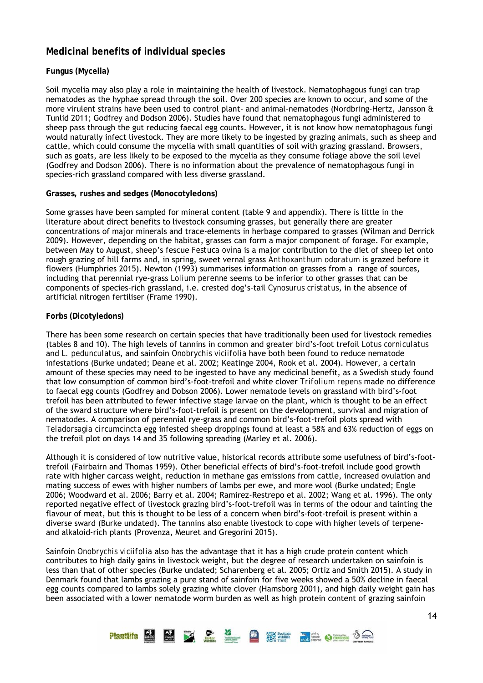# **Medicinal benefits of individual species**

#### **Fungus (Mycelia)**

Soil mycelia may also play a role in maintaining the health of livestock. Nematophagous fungi can trap nematodes as the hyphae spread through the soil. Over 200 species are known to occur, and some of the more virulent strains have been used to control plant- and animal-nematodes (Nordbring-Hertz, Jansson & Tunlid 2011; Godfrey and Dodson 2006). Studies have found that nematophagous fungi administered to sheep pass through the gut reducing faecal egg counts. However, it is not know how nematophagous fungi would naturally infect livestock. They are more likely to be ingested by grazing animals, such as sheep and cattle, which could consume the mycelia with small quantities of soil with grazing grassland. Browsers, such as goats, are less likely to be exposed to the mycelia as they consume foliage above the soil level (Godfrey and Dodson 2006). There is no information about the prevalence of nematophagous fungi in species-rich grassland compared with less diverse grassland.

#### **Grasses, rushes and sedges (Monocotyledons)**

Some grasses have been sampled for mineral content (table 9 and appendix). There is little in the literature about direct benefits to livestock consuming grasses, but generally there are greater concentrations of major minerals and trace-elements in herbage compared to grasses (Wilman and Derrick 2009). However, depending on the habitat, grasses can form a major component of forage. For example, between May to August, sheep's fescue *Festuca ovina* is a major contribution to the diet of sheep let onto rough grazing of hill farms and, in spring, sweet vernal grass *Anthoxanthum odoratum* is grazed before it flowers (Humphries 2015). Newton (1993) summarises information on grasses from a range of sources, including that perennial rye-grass *Lolium perenne* seems to be inferior to other grasses that can be components of species-rich grassland, i.e. crested dog's-tail *Cynosurus cristatus*, in the absence of artificial nitrogen fertiliser (Frame 1990).

#### **Forbs (Dicotyledons)**

There has been some research on certain species that have traditionally been used for livestock remedies (tables 8 and 10). The high levels of tannins in common and greater bird's-foot trefoil *Lotus corniculatus* and *L. pedunculatus*, and sainfoin *Onobrychis viciifolia* have both been found to reduce nematode infestations (Burke undated; Deane et al. 2002; Keatinge 2004, Rook et al. 2004). However, a certain amount of these species may need to be ingested to have any medicinal benefit, as a Swedish study found that low consumption of common bird's-foot-trefoil and white clover *Trifolium repens* made no difference to faecal egg counts (Godfrey and Dobson 2006). Lower nematode levels on grassland with bird's-foot trefoil has been attributed to fewer infective stage larvae on the plant, which is thought to be an effect of the sward structure where bird's-foot-trefoil is present on the development, survival and migration of nematodes. A comparison of perennial rye-grass and common bird's-foot-trefoil plots spread with *Teladorsagia circumcincta* egg infested sheep droppings found at least a 58% and 63% reduction of eggs on the trefoil plot on days 14 and 35 following spreading (Marley et al. 2006).

Although it is considered of low nutritive value, historical records attribute some usefulness of bird's-foottrefoil (Fairbairn and Thomas 1959). Other beneficial effects of bird's-foot-trefoil include good growth rate with higher carcass weight, reduction in methane gas emissions from cattle, increased ovulation and mating success of ewes with higher numbers of lambs per ewe, and more wool (Burke undated; Engle 2006; Woodward et al. 2006; Barry et al. 2004; Ramirez-Restrepo et al. 2002; Wang et al. 1996). The only reported negative effect of livestock grazing bird's-foot-trefoil was in terms of the odour and tainting the flavour of meat, but this is thought to be less of a concern when bird's-foot-trefoil is present within a diverse sward (Burke undated). The tannins also enable livestock to cope with higher levels of terpeneand alkaloid-rich plants (Provenza, Meuret and Gregorini 2015).

Sainfoin *Onobrychis viciifolia* also has the advantage that it has a high crude protein content which contributes to high daily gains in livestock weight, but the degree of research undertaken on sainfoin is less than that of other species (Burke undated; Scharenberg et al. 2005; Ortiz and Smith 2015). A study in Denmark found that lambs grazing a pure stand of sainfoin for five weeks showed a 50% decline in faecal egg counts compared to lambs solely grazing white clover (Hamsborg 2001), and high daily weight gain has been associated with a lower nematode worm burden as well as high protein content of grazing sainfoin

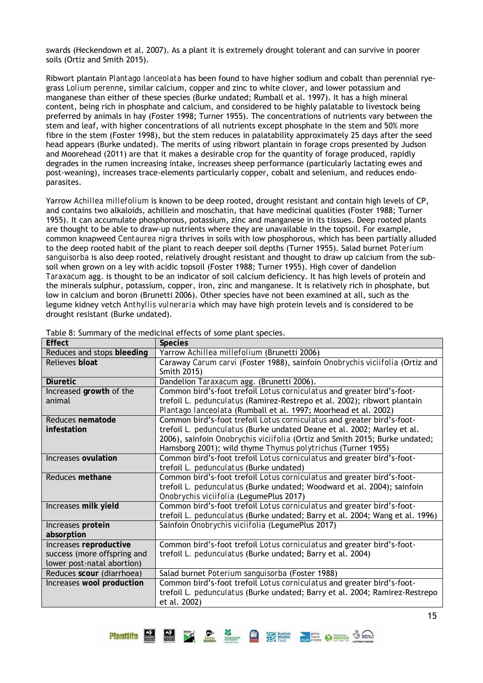swards (Heckendown et al. 2007). As a plant it is extremely drought tolerant and can survive in poorer soils (Ortiz and Smith 2015).

Ribwort plantain *Plantago lanceolata* has been found to have higher sodium and cobalt than perennial ryegrass *Lolium perenne*, similar calcium, copper and zinc to white clover, and lower potassium and manganese than either of these species (Burke undated; Rumball et al. 1997). It has a high mineral content, being rich in phosphate and calcium, and considered to be highly palatable to livestock being preferred by animals in hay (Foster 1998; Turner 1955). The concentrations of nutrients vary between the stem and leaf, with higher concentrations of all nutrients except phosphate in the stem and 50% more fibre in the stem (Foster 1998), but the stem reduces in palatability approximately 25 days after the seed head appears (Burke undated). The merits of using ribwort plantain in forage crops presented by Judson and Moorehead (2011) are that it makes a desirable crop for the quantity of forage produced, rapidly degrades in the rumen increasing intake, increases sheep performance (particularly lactating ewes and post-weaning), increases trace-elements particularly copper, cobalt and selenium, and reduces endoparasites.

Yarrow *Achillea millefolium* is known to be deep rooted, drought resistant and contain high levels of CP, and contains two alkaloids, achillein and moschatin, that have medicinal qualities (Foster 1988; Turner 1955). It can accumulate phosphorous, potassium, zinc and manganese in its tissues. Deep rooted plants are thought to be able to draw-up nutrients where they are unavailable in the topsoil. For example, common knapweed *Centaurea nigra* thrives in soils with low phosphorous, which has been partially alluded to the deep rooted habit of the plant to reach deeper soil depths (Turner 1955). Salad burnet *Poterium sanguisorba* is also deep rooted, relatively drought resistant and thought to draw up calcium from the subsoil when grown on a ley with acidic topsoil (Foster 1988; Turner 1955). High cover of dandelion *Taraxacum* agg. is thought to be an indicator of soil calcium deficiency. It has high levels of protein and the minerals sulphur, potassium, copper, iron, zinc and manganese. It is relatively rich in phosphate, but low in calcium and boron (Brunetti 2006). Other species have not been examined at all, such as the legume kidney vetch *Anthyllis vulneraria* which may have high protein levels and is considered to be drought resistant (Burke undated).

| <b>Effect</b>                                                                       | <b>Species</b>                                                                                                                                                                                                                                                                                  |
|-------------------------------------------------------------------------------------|-------------------------------------------------------------------------------------------------------------------------------------------------------------------------------------------------------------------------------------------------------------------------------------------------|
| Reduces and stops bleeding                                                          | Yarrow Achillea millefolium (Brunetti 2006)                                                                                                                                                                                                                                                     |
| Relieves bloat                                                                      | Caraway Carum carvi (Foster 1988), sainfoin Onobrychis viciifolia (Ortiz and<br>Smith 2015)                                                                                                                                                                                                     |
| <b>Diuretic</b>                                                                     | Dandelion Taraxacum agg. (Brunetti 2006).                                                                                                                                                                                                                                                       |
| Increased growth of the<br>animal                                                   | Common bird's-foot trefoil Lotus corniculatus and greater bird's-foot-<br>trefoil L. pedunculatus (Ramirez-Restrepo et al. 2002); ribwort plantain                                                                                                                                              |
|                                                                                     | Plantago lanceolata (Rumball et al. 1997; Moorhead et al. 2002)                                                                                                                                                                                                                                 |
| Reduces nematode<br>infestation                                                     | Common bird's-foot trefoil Lotus corniculatus and greater bird's-foot-<br>trefoil L. pedunculatus (Burke undated Deane et al. 2002; Marley et al.<br>2006), sainfoin Onobrychis viciifolia (Ortiz and Smith 2015; Burke undated;<br>Hamsborg 2001); wild thyme Thymus polytrichus (Turner 1955) |
| Increases ovulation                                                                 | Common bird's-foot trefoil Lotus corniculatus and greater bird's-foot-<br>trefoil L. pedunculatus (Burke undated)                                                                                                                                                                               |
| Reduces methane                                                                     | Common bird's-foot trefoil Lotus corniculatus and greater bird's-foot-<br>trefoil L. pedunculatus (Burke undated; Woodward et al. 2004); sainfoin<br>Onobrychis viciifolia (LegumePlus 2017)                                                                                                    |
| Increases milk yield                                                                | Common bird's-foot trefoil Lotus corniculatus and greater bird's-foot-<br>trefoil L. pedunculatus (Burke undated; Barry et al. 2004; Wang et al. 1996)                                                                                                                                          |
| Increases protein<br>absorption                                                     | Sainfoin Onobrychis viciifolia (LegumePlus 2017)                                                                                                                                                                                                                                                |
| increases reproductive<br>success (more offspring and<br>lower post-natal abortion) | Common bird's-foot trefoil Lotus corniculatus and greater bird's-foot-<br>trefoil L. pedunculatus (Burke undated; Barry et al. 2004)                                                                                                                                                            |
| Reduces scour (diarrhoea)                                                           | Salad burnet Poterium sanguisorba (Foster 1988)                                                                                                                                                                                                                                                 |
| Increases wool production                                                           | Common bird's-foot trefoil Lotus corniculatus and greater bird's-foot-<br>trefoil L. pedunculatus (Burke undated; Barry et al. 2004; Ramirez-Restrepo<br>et al. 2002)                                                                                                                           |

Table 8: Summary of the medicinal effects of some plant species.

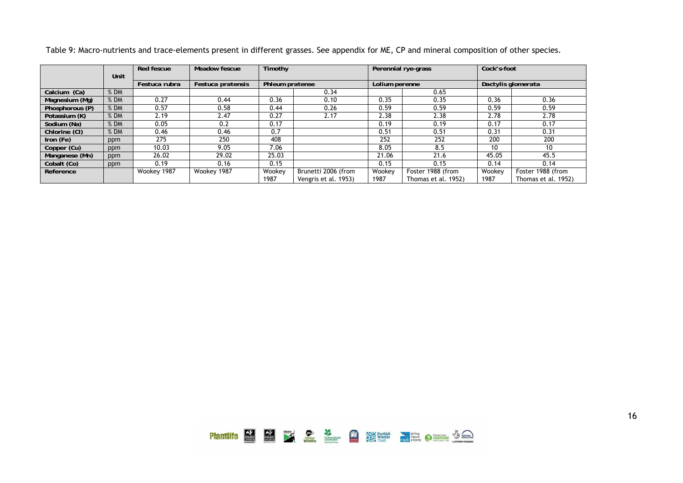|                 |        | Red fescue    | Meadow fescue     | Timothy         |                      |                | Perennial rye-grass | Cock's-foot        |                     |  |  |
|-----------------|--------|---------------|-------------------|-----------------|----------------------|----------------|---------------------|--------------------|---------------------|--|--|
|                 | Unit   |               |                   |                 |                      |                |                     |                    |                     |  |  |
|                 |        | Festuca rubra | Festuca pratensis | Phleum pratense |                      | Lolium perenne |                     | Dactylis glomerata |                     |  |  |
| Calcium (Ca)    | $%$ DM |               |                   |                 | 0.34                 |                | 0.65                |                    |                     |  |  |
| Magnesium (Mg)  | $%$ DM | 0.27          | 0.44              | 0.36            | 0.10                 | 0.35           | 0.35                | 0.36               | 0.36                |  |  |
| Phosphorous (P) | % DM   | 0.57          | 0.58              | 0.44            | 0.26                 | 0.59           | 0.59                | 0.59               | 0.59                |  |  |
| Potassium (K)   | % DM   | 2.19          | 2.47              | 0.27            | 2.17                 | 2.38           | 2.38                | 2.78               | 2.78                |  |  |
| Sodium (Na)     | $%$ DM | 0.05          | 0.2               | 0.17            |                      | 0.19           | 0.19                | 0.17               | 0.17                |  |  |
| Chlorine (CI)   | $%$ DM | 0.46          | 0.46              | 0.7             |                      | 0.51           | 0.51                | 0.31               | 0.31                |  |  |
| Iron (Fe)       | ppm    | 275           | 250               | 408             |                      | 252            | 252                 | 200                | 200                 |  |  |
| Copper (Cu)     | ppm    | 10.03         | 9.05              | 7.06            |                      | 8.05           | 8.5                 | 10                 | 10                  |  |  |
| Manganese (Mn)  | ppm    | 26.02         | 29.02             | 25.03           |                      | 21.06          | 21.6                | 45.05              | 45.5                |  |  |
| Cobalt (Co)     | ppm    | 0.19          | 0.16              | 0.15            |                      | 0.15           | 0.15                | 0.14               | 0.14                |  |  |
| Reference       |        | Wookey 1987   | Wookey 1987       | Wookey          | Brunetti 2006 (from  | Wookey         | Foster 1988 (from   | Wookey             | Foster 1988 (from   |  |  |
|                 |        |               |                   | 1987            | Vengris et al. 1953) | 1987           | Thomas et al. 1952) | 1987               | Thomas et al. 1952) |  |  |

Table 9: Macro-nutrients and trace-elements present in different grasses. See appendix for ME, CP and mineral composition of other species.

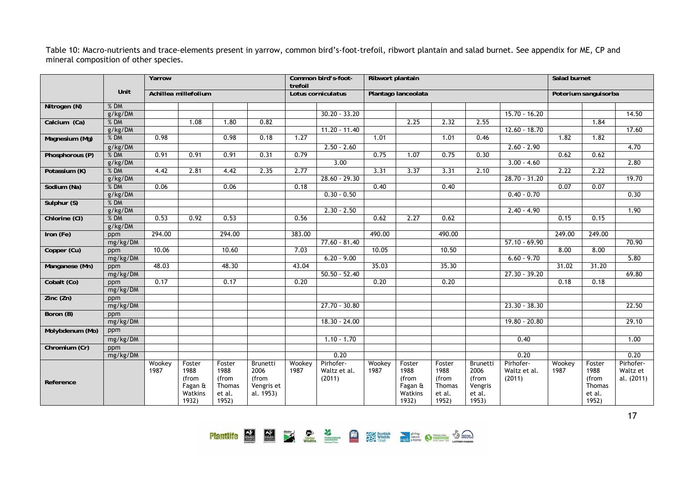Table 10: Macro-nutrients and trace-elements present in yarrow, common bird's-foot-trefoil, ribwort plantain and salad burnet. See appendix for ME, CP and mineral composition of other species.

|                 |          | Yarrow         |                                                        | trefoil                                              | Common bird's-foot-<br>Ribwort plantain              |                |                                     |                |                                                        |                                                      | Salad burnet                                            |                                     |                |                                                      |                                     |
|-----------------|----------|----------------|--------------------------------------------------------|------------------------------------------------------|------------------------------------------------------|----------------|-------------------------------------|----------------|--------------------------------------------------------|------------------------------------------------------|---------------------------------------------------------|-------------------------------------|----------------|------------------------------------------------------|-------------------------------------|
|                 | Unit     |                | Achillea millefolium                                   |                                                      |                                                      |                | Lotus corniculatus                  |                | Plantago lanceolata                                    |                                                      |                                                         |                                     |                | Poterium sanguisorba                                 |                                     |
| Nitrogen (N)    | $%$ DM   |                |                                                        |                                                      |                                                      |                |                                     |                |                                                        |                                                      |                                                         |                                     |                |                                                      |                                     |
|                 | g/kg/DM  |                |                                                        |                                                      |                                                      |                | $30.20 - 33.20$                     |                |                                                        |                                                      |                                                         | $15.70 - 16.20$                     |                |                                                      | 14.50                               |
| Calcium (Ca)    | %DM      |                | 1.08                                                   | 1.80                                                 | 0.82                                                 |                |                                     |                | 2.25                                                   | 2.32                                                 | 2.55                                                    |                                     |                | 1.84                                                 |                                     |
|                 | g/kg/DM  |                |                                                        |                                                      |                                                      |                | $11.20 - 11.40$                     |                |                                                        |                                                      |                                                         | $12.60 - 18.70$                     |                |                                                      | 17.60                               |
| Magnesium (Mg)  | % DM     | 0.98           |                                                        | 0.98                                                 | 0.18                                                 | 1.27           |                                     | 1.01           |                                                        | 1.01                                                 | 0.46                                                    |                                     | 1.82           | 1.82                                                 |                                     |
|                 | g/kg/DM  |                |                                                        |                                                      |                                                      |                | $2.50 - 2.60$                       |                |                                                        |                                                      |                                                         | $2.60 - 2.90$                       |                |                                                      | 4.70                                |
| Phosphorous (P) | $%$ DM   | 0.91           | 0.91                                                   | 0.91                                                 | 0.31                                                 | 0.79           |                                     | 0.75           | 1.07                                                   | 0.75                                                 | 0.30                                                    |                                     | 0.62           | 0.62                                                 |                                     |
|                 | g/kg/DM  |                |                                                        |                                                      |                                                      |                | 3.00                                |                |                                                        |                                                      |                                                         | $3.00 - 4.60$                       |                |                                                      | 2.80                                |
| Potassium (K)   | $%$ DM   | 4.42           | 2.81                                                   | 4.42                                                 | 2.35                                                 | 2.77           |                                     | 3.31           | 3.37                                                   | 3.31                                                 | 2.10                                                    |                                     | 2.22           | 2.22                                                 |                                     |
|                 | g/kg/DM  |                |                                                        |                                                      |                                                      |                | 28.60 - 29.30                       |                |                                                        |                                                      |                                                         | 28.70 - 31.20                       |                |                                                      | 19.70                               |
| Sodium (Na)     | $%$ DM   | 0.06           |                                                        | 0.06                                                 |                                                      | 0.18           |                                     | 0.40           |                                                        | 0.40                                                 |                                                         |                                     | 0.07           | 0.07                                                 |                                     |
|                 | g/kg/DM  |                |                                                        |                                                      |                                                      |                | $0.30 - 0.50$                       |                |                                                        |                                                      |                                                         | $0.40 - 0.70$                       |                |                                                      | 0.30                                |
| Sulphur (S)     | $%$ DM   |                |                                                        |                                                      |                                                      |                |                                     |                |                                                        |                                                      |                                                         |                                     |                |                                                      |                                     |
|                 | g/kg/DM  |                |                                                        |                                                      |                                                      |                | $2.30 - 2.50$                       |                |                                                        |                                                      |                                                         | $2.40 - 4.90$                       |                |                                                      | 1.90                                |
| Chlorine (CI)   | $%$ DM   | 0.53           | 0.92                                                   | 0.53                                                 |                                                      | 0.56           |                                     | 0.62           | 2.27                                                   | 0.62                                                 |                                                         |                                     | 0.15           | 0.15                                                 |                                     |
|                 | g/kg/DM  |                |                                                        |                                                      |                                                      |                |                                     |                |                                                        |                                                      |                                                         |                                     |                |                                                      |                                     |
| Iron (Fe)       | ppm      | 294.00         |                                                        | 294.00                                               |                                                      | 383.00         |                                     | 490.00         |                                                        | 490.00                                               |                                                         |                                     | 249.00         | 249.00                                               |                                     |
|                 | mg/kg/DM |                |                                                        |                                                      |                                                      |                | $77.60 - 81.40$                     |                |                                                        |                                                      |                                                         | $57.10 - 69.90$                     |                |                                                      | 70.90                               |
| Copper (Cu)     | ppm      | 10.06          |                                                        | 10.60                                                |                                                      | 7.03           |                                     | 10.05          |                                                        | 10.50                                                |                                                         |                                     | 8.00           | 8.00                                                 |                                     |
|                 | mg/kg/DM |                |                                                        |                                                      |                                                      |                | $6.20 - 9.00$                       |                |                                                        |                                                      |                                                         | $6.60 - 9.70$                       |                |                                                      | 5.80                                |
| Manganese (Mn)  | ppm      | 48.03          |                                                        | 48.30                                                |                                                      | 43.04          |                                     | 35.03          |                                                        | 35.30                                                |                                                         |                                     | 31.02          | 31.20                                                |                                     |
|                 | mg/kg/DM |                |                                                        |                                                      |                                                      |                | $50.50 - 52.40$                     |                |                                                        |                                                      |                                                         | $27.30 - 39.20$                     |                |                                                      | 69.80                               |
| Cobalt (Co)     | ppm      | 0.17           |                                                        | 0.17                                                 |                                                      | 0.20           |                                     | 0.20           |                                                        | 0.20                                                 |                                                         |                                     | 0.18           | 0.18                                                 |                                     |
|                 | mg/kg/DM |                |                                                        |                                                      |                                                      |                |                                     |                |                                                        |                                                      |                                                         |                                     |                |                                                      |                                     |
| Zinc(Zn)        | ppm      |                |                                                        |                                                      |                                                      |                |                                     |                |                                                        |                                                      |                                                         |                                     |                |                                                      |                                     |
|                 | mg/kg/DM |                |                                                        |                                                      |                                                      |                | $27.70 - 30.80$                     |                |                                                        |                                                      |                                                         | $23.30 - 38.30$                     |                |                                                      | 22.50                               |
| Boron (B)       | ppm      |                |                                                        |                                                      |                                                      |                |                                     |                |                                                        |                                                      |                                                         |                                     |                |                                                      |                                     |
|                 | mg/kg/DM |                |                                                        |                                                      |                                                      |                | 18.30 - 24.00                       |                |                                                        |                                                      |                                                         | $19.80 - 20.80$                     |                |                                                      | 29.10                               |
| Molybdenum (Mo) | ppm      |                |                                                        |                                                      |                                                      |                |                                     |                |                                                        |                                                      |                                                         |                                     |                |                                                      |                                     |
|                 | mg/kg/DM |                |                                                        |                                                      |                                                      |                | $1.10 - 1.70$                       |                |                                                        |                                                      |                                                         | 0.40                                |                |                                                      | 1.00                                |
| Chromium (Cr)   | ppm      |                |                                                        |                                                      |                                                      |                |                                     |                |                                                        |                                                      |                                                         |                                     |                |                                                      |                                     |
|                 | mg/kg/DM |                |                                                        |                                                      |                                                      |                | 0.20                                |                |                                                        |                                                      |                                                         | 0.20                                |                |                                                      | 0.20                                |
| Reference       |          | Wookey<br>1987 | Foster<br>1988<br>(from<br>Fagan &<br>Watkins<br>1932) | Foster<br>1988<br>(from<br>Thomas<br>et al.<br>1952) | Brunetti<br>2006<br>(from<br>Vengris et<br>al. 1953) | Wookey<br>1987 | Pirhofer-<br>Waltz et al.<br>(2011) | Wookey<br>1987 | Foster<br>1988<br>(from<br>Fagan &<br>Watkins<br>1932) | Foster<br>1988<br>(from<br>Thomas<br>et al.<br>1952) | Brunetti<br>2006<br>(from<br>Vengris<br>et al.<br>1953) | Pirhofer-<br>Waltz et al.<br>(2011) | Wookey<br>1987 | Foster<br>1988<br>(from<br>Thomas<br>et al.<br>1952) | Pirhofer-<br>Waltz et<br>al. (2011) |

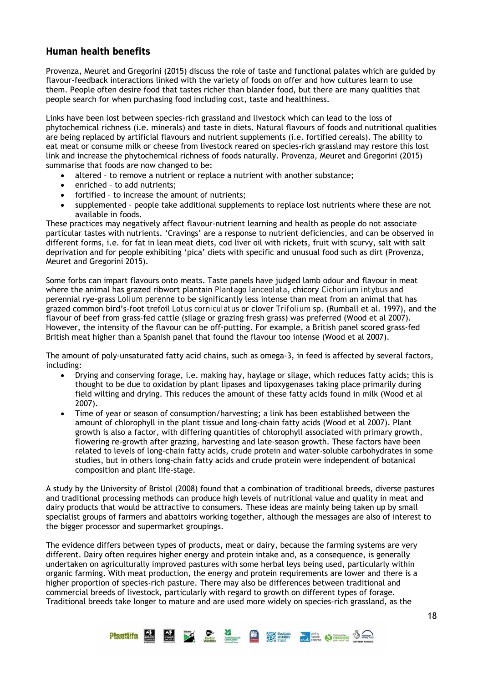# **Human health benefits**

Provenza, Meuret and Gregorini (2015) discuss the role of taste and functional palates which are guided by flavour-feedback interactions linked with the variety of foods on offer and how cultures learn to use them. People often desire food that tastes richer than blander food, but there are many qualities that people search for when purchasing food including cost, taste and healthiness.

Links have been lost between species-rich grassland and livestock which can lead to the loss of phytochemical richness (i.e. minerals) and taste in diets. Natural flavours of foods and nutritional qualities are being replaced by artificial flavours and nutrient supplements (i.e. fortified cereals). The ability to eat meat or consume milk or cheese from livestock reared on species-rich grassland may restore this lost link and increase the phytochemical richness of foods naturally. Provenza, Meuret and Gregorini (2015) summarise that foods are now changed to be:

- altered to remove a nutrient or replace a nutrient with another substance;
- enriched to add nutrients;
- fortified to increase the amount of nutrients;
- supplemented people take additional supplements to replace lost nutrients where these are not available in foods.

These practices may negatively affect flavour-nutrient learning and health as people do not associate particular tastes with nutrients. 'Cravings' are a response to nutrient deficiencies, and can be observed in different forms, i.e. for fat in lean meat diets, cod liver oil with rickets, fruit with scurvy, salt with salt deprivation and for people exhibiting 'pica' diets with specific and unusual food such as dirt (Provenza, Meuret and Gregorini 2015).

Some forbs can impart flavours onto meats. Taste panels have judged lamb odour and flavour in meat where the animal has grazed ribwort plantain *Plantago lanceolata*, chicory *Cichorium intybus* and perennial rye-grass *Lolium perenne* to be significantly less intense than meat from an animal that has grazed common bird's-foot trefoil *Lotus corniculatus* or clover *Trifolium* sp. (Rumball et al. 1997), and the flavour of beef from grass-fed cattle (silage or grazing fresh grass) was preferred (Wood et al 2007). However, the intensity of the flavour can be off-putting. For example, a British panel scored grass-fed British meat higher than a Spanish panel that found the flavour too intense (Wood et al 2007).

The amount of poly-unsaturated fatty acid chains, such as omega-3, in feed is affected by several factors, including:

- Drying and conserving forage, i.e. making hay, haylage or silage, which reduces fatty acids; this is thought to be due to oxidation by plant lipases and lipoxygenases taking place primarily during field wilting and drying. This reduces the amount of these fatty acids found in milk (Wood et al 2007).
- Time of year or season of consumption/harvesting; a link has been established between the amount of chlorophyll in the plant tissue and long-chain fatty acids (Wood et al 2007). Plant growth is also a factor, with differing quantities of chlorophyll associated with primary growth, flowering re-growth after grazing, harvesting and late-season growth. These factors have been related to levels of long-chain fatty acids, crude protein and water-soluble carbohydrates in some studies, but in others long-chain fatty acids and crude protein were independent of botanical composition and plant life-stage.

A study by the University of Bristol (2008) found that a combination of traditional breeds, diverse pastures and traditional processing methods can produce high levels of nutritional value and quality in meat and dairy products that would be attractive to consumers. These ideas are mainly being taken up by small specialist groups of farmers and abattoirs working together, although the messages are also of interest to the bigger processor and supermarket groupings.

The evidence differs between types of products, meat or dairy, because the farming systems are very different. Dairy often requires higher energy and protein intake and, as a consequence, is generally undertaken on agriculturally improved pastures with some herbal leys being used, particularly within organic farming. With meat production, the energy and protein requirements are lower and there is a higher proportion of species-rich pasture. There may also be differences between traditional and commercial breeds of livestock, particularly with regard to growth on different types of forage. Traditional breeds take longer to mature and are used more widely on species-rich grassland, as the

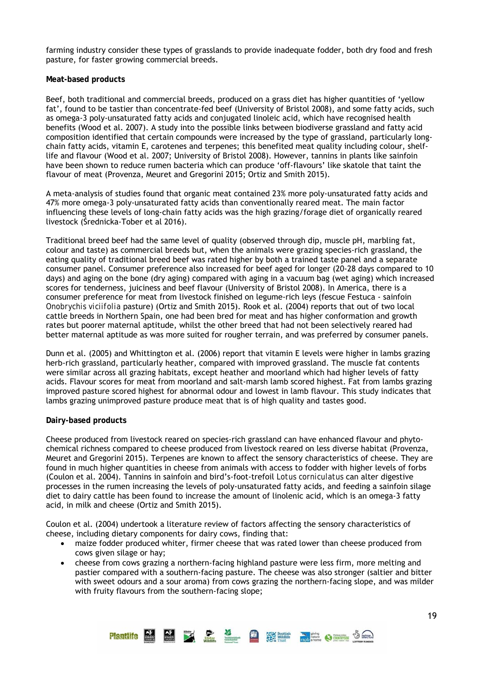farming industry consider these types of grasslands to provide inadequate fodder, both dry food and fresh pasture, for faster growing commercial breeds.

#### **Meat-based products**

Beef, both traditional and commercial breeds, produced on a grass diet has higher quantities of 'yellow fat', found to be tastier than concentrate-fed beef (University of Bristol 2008), and some fatty acids, such as omega-3 poly-unsaturated fatty acids and conjugated linoleic acid, which have recognised health benefits (Wood et al. 2007). A study into the possible links between biodiverse grassland and fatty acid composition identified that certain compounds were increased by the type of grassland, particularly longchain fatty acids, vitamin E, carotenes and terpenes; this benefited meat quality including colour, shelflife and flavour (Wood et al. 2007; University of Bristol 2008). However, tannins in plants like sainfoin have been shown to reduce rumen bacteria which can produce 'off-flavours' like skatole that taint the flavour of meat (Provenza, Meuret and Gregorini 2015; Ortiz and Smith 2015).

A meta-analysis of studies found that organic meat contained 23% more poly-unsaturated fatty acids and 47% more omega-3 poly-unsaturated fatty acids than conventionally reared meat. The main factor influencing these levels of long-chain fatty acids was the high grazing/forage diet of organically reared livestock (Średnicka-Tober et al 2016).

Traditional breed beef had the same level of quality (observed through dip, muscle pH, marbling fat, colour and taste) as commercial breeds but, when the animals were grazing species-rich grassland, the eating quality of traditional breed beef was rated higher by both a trained taste panel and a separate consumer panel. Consumer preference also increased for beef aged for longer (20-28 days compared to 10 days) and aging on the bone (dry aging) compared with aging in a vacuum bag (wet aging) which increased scores for tenderness, juiciness and beef flavour (University of Bristol 2008). In America, there is a consumer preference for meat from livestock finished on legume-rich leys (fescue Festuca - sainfoin *Onobrychis viciifolia* pasture) (Ortiz and Smith 2015). Rook et al. (2004) reports that out of two local cattle breeds in Northern Spain, one had been bred for meat and has higher conformation and growth rates but poorer maternal aptitude, whilst the other breed that had not been selectively reared had better maternal aptitude as was more suited for rougher terrain, and was preferred by consumer panels.

Dunn et al. (2005) and Whittington et al. (2006) report that vitamin E levels were higher in lambs grazing herb-rich grassland, particularly heather, compared with improved grassland. The muscle fat contents were similar across all grazing habitats, except heather and moorland which had higher levels of fatty acids. Flavour scores for meat from moorland and salt-marsh lamb scored highest. Fat from lambs grazing improved pasture scored highest for abnormal odour and lowest in lamb flavour. This study indicates that lambs grazing unimproved pasture produce meat that is of high quality and tastes good.

#### **Dairy-based products**

Cheese produced from livestock reared on species-rich grassland can have enhanced flavour and phytochemical richness compared to cheese produced from livestock reared on less diverse habitat (Provenza, Meuret and Gregorini 2015). Terpenes are known to affect the sensory characteristics of cheese. They are found in much higher quantities in cheese from animals with access to fodder with higher levels of forbs (Coulon et al. 2004). Tannins in sainfoin and bird's-foot-trefoil *Lotus corniculatus* can alter digestive processes in the rumen increasing the levels of poly-unsaturated fatty acids, and feeding a sainfoin silage diet to dairy cattle has been found to increase the amount of linolenic acid, which is an omega-3 fatty acid, in milk and cheese (Ortiz and Smith 2015).

Coulon et al. (2004) undertook a literature review of factors affecting the sensory characteristics of cheese, including dietary components for dairy cows, finding that:

- maize fodder produced whiter, firmer cheese that was rated lower than cheese produced from cows given silage or hay;
- cheese from cows grazing a northern-facing highland pasture were less firm, more melting and pastier compared with a southern-facing pasture. The cheese was also stronger (saltier and bitter with sweet odours and a sour aroma) from cows grazing the northern-facing slope, and was milder with fruity flavours from the southern-facing slope;

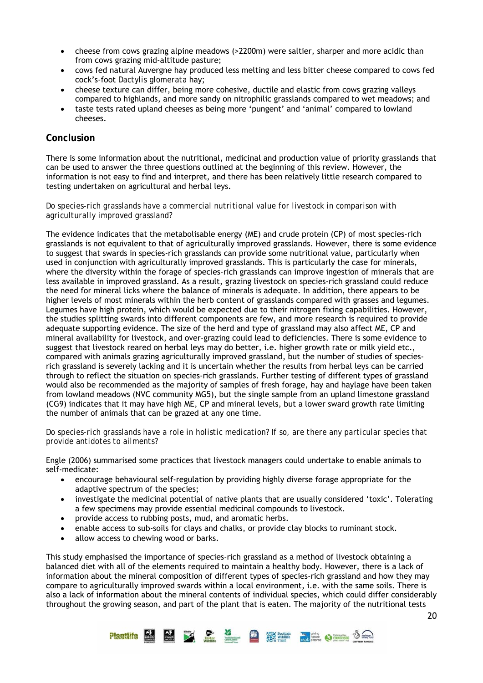- cheese from cows grazing alpine meadows (>2200m) were saltier, sharper and more acidic than from cows grazing mid-altitude pasture;
- cows fed natural Auvergne hay produced less melting and less bitter cheese compared to cows fed cock's-foot *Dactylis glomerata* hay;
- cheese texture can differ, being more cohesive, ductile and elastic from cows grazing valleys compared to highlands, and more sandy on nitrophilic grasslands compared to wet meadows; and
- taste tests rated upland cheeses as being more 'pungent' and 'animal' compared to lowland cheeses.

### **Conclusion**

There is some information about the nutritional, medicinal and production value of priority grasslands that can be used to answer the three questions outlined at the beginning of this review. However, the information is not easy to find and interpret, and there has been relatively little research compared to testing undertaken on agricultural and herbal leys.

#### *Do species-rich grasslands have a commercial nutritional value for livestock in comparison with agriculturally improved grassland?*

The evidence indicates that the metabolisable energy (ME) and crude protein (CP) of most species-rich grasslands is not equivalent to that of agriculturally improved grasslands. However, there is some evidence to suggest that swards in species-rich grasslands can provide some nutritional value, particularly when used in conjunction with agriculturally improved grasslands. This is particularly the case for minerals, where the diversity within the forage of species-rich grasslands can improve ingestion of minerals that are less available in improved grassland. As a result, grazing livestock on species-rich grassland could reduce the need for mineral licks where the balance of minerals is adequate. In addition, there appears to be higher levels of most minerals within the herb content of grasslands compared with grasses and legumes. Legumes have high protein, which would be expected due to their nitrogen fixing capabilities. However, the studies splitting swards into different components are few, and more research is required to provide adequate supporting evidence. The size of the herd and type of grassland may also affect ME, CP and mineral availability for livestock, and over-grazing could lead to deficiencies. There is some evidence to suggest that livestock reared on herbal leys may do better, i.e. higher growth rate or milk yield etc., compared with animals grazing agriculturally improved grassland, but the number of studies of speciesrich grassland is severely lacking and it is uncertain whether the results from herbal leys can be carried through to reflect the situation on species-rich grasslands. Further testing of different types of grassland would also be recommended as the majority of samples of fresh forage, hay and haylage have been taken from lowland meadows (NVC community MG5), but the single sample from an upland limestone grassland (CG9) indicates that it may have high ME, CP and mineral levels, but a lower sward growth rate limiting the number of animals that can be grazed at any one time.

#### *Do species-rich grasslands have a role in holistic medication? If so, are there any particular species that provide antidotes to ailments?*

Engle (2006) summarised some practices that livestock managers could undertake to enable animals to self-medicate:

- encourage behavioural self-regulation by providing highly diverse forage appropriate for the adaptive spectrum of the species;
- investigate the medicinal potential of native plants that are usually considered 'toxic'. Tolerating a few specimens may provide essential medicinal compounds to livestock.
- provide access to rubbing posts, mud, and aromatic herbs.
- enable access to sub-soils for clays and chalks, or provide clay blocks to ruminant stock.
- allow access to chewing wood or barks.

This study emphasised the importance of species-rich grassland as a method of livestock obtaining a balanced diet with all of the elements required to maintain a healthy body. However, there is a lack of information about the mineral composition of different types of species-rich grassland and how they may compare to agriculturally improved swards within a local environment, i.e. with the same soils. There is also a lack of information about the mineral contents of individual species, which could differ considerably throughout the growing season, and part of the plant that is eaten. The majority of the nutritional tests

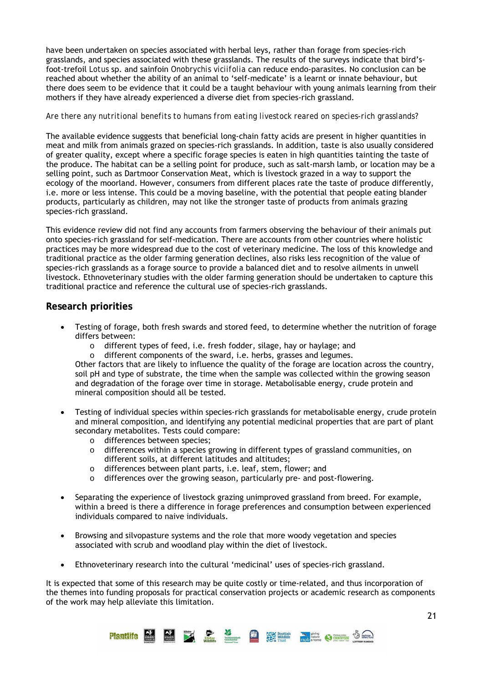have been undertaken on species associated with herbal leys, rather than forage from species-rich grasslands, and species associated with these grasslands. The results of the surveys indicate that bird'sfoot-trefoil *Lotus* sp. and sainfoin *Onobrychis viciifolia* can reduce endo-parasites. No conclusion can be reached about whether the ability of an animal to 'self-medicate' is a learnt or innate behaviour, but there does seem to be evidence that it could be a taught behaviour with young animals learning from their mothers if they have already experienced a diverse diet from species-rich grassland.

#### *Are there any nutritional benefits to humans from eating livestock reared on species-rich grasslands?*

The available evidence suggests that beneficial long-chain fatty acids are present in higher quantities in meat and milk from animals grazed on species-rich grasslands. In addition, taste is also usually considered of greater quality, except where a specific forage species is eaten in high quantities tainting the taste of the produce. The habitat can be a selling point for produce, such as salt-marsh lamb, or location may be a selling point, such as Dartmoor Conservation Meat, which is livestock grazed in a way to support the ecology of the moorland. However, consumers from different places rate the taste of produce differently, i.e. more or less intense. This could be a moving baseline, with the potential that people eating blander products, particularly as children, may not like the stronger taste of products from animals grazing species-rich grassland.

This evidence review did not find any accounts from farmers observing the behaviour of their animals put onto species-rich grassland for self-medication. There are accounts from other countries where holistic practices may be more widespread due to the cost of veterinary medicine. The loss of this knowledge and traditional practice as the older farming generation declines, also risks less recognition of the value of species-rich grasslands as a forage source to provide a balanced diet and to resolve ailments in unwell livestock. Ethnoveterinary studies with the older farming generation should be undertaken to capture this traditional practice and reference the cultural use of species-rich grasslands.

### **Research priorities**

- Testing of forage, both fresh swards and stored feed, to determine whether the nutrition of forage differs between:
	- o different types of feed, i.e. fresh fodder, silage, hay or haylage; and
	- o different components of the sward, i.e. herbs, grasses and legumes.

Other factors that are likely to influence the quality of the forage are location across the country, soil pH and type of substrate, the time when the sample was collected within the growing season and degradation of the forage over time in storage. Metabolisable energy, crude protein and mineral composition should all be tested.

- Testing of individual species within species-rich grasslands for metabolisable energy, crude protein and mineral composition, and identifying any potential medicinal properties that are part of plant secondary metabolites. Tests could compare:
	- o differences between species;
	- o differences within a species growing in different types of grassland communities, on different soils, at different latitudes and altitudes;
	- o differences between plant parts, i.e. leaf, stem, flower; and
	- o differences over the growing season, particularly pre- and post-flowering.
- Separating the experience of livestock grazing unimproved grassland from breed. For example, within a breed is there a difference in forage preferences and consumption between experienced individuals compared to naive individuals.
- Browsing and silvopasture systems and the role that more woody vegetation and species associated with scrub and woodland play within the diet of livestock.
- Ethnoveterinary research into the cultural 'medicinal' uses of species-rich grassland.

It is expected that some of this research may be quite costly or time-related, and thus incorporation of the themes into funding proposals for practical conservation projects or academic research as components of the work may help alleviate this limitation.

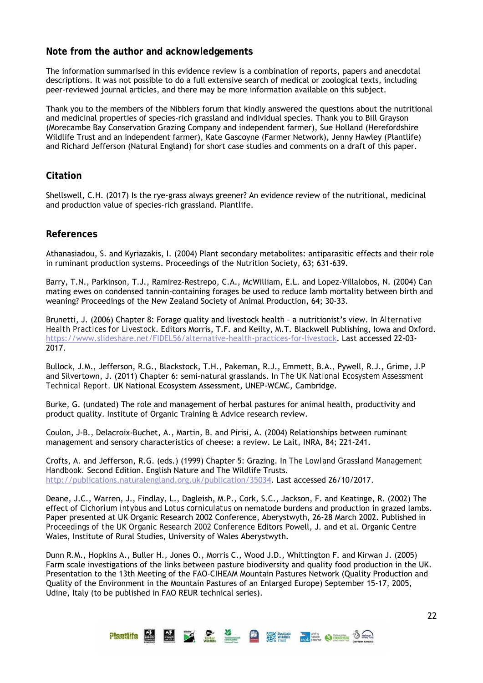# **Note from the author and acknowledgements**

The information summarised in this evidence review is a combination of reports, papers and anecdotal descriptions. It was not possible to do a full extensive search of medical or zoological texts, including peer-reviewed journal articles, and there may be more information available on this subject.

Thank you to the members of the Nibblers forum that kindly answered the questions about the nutritional and medicinal properties of species-rich grassland and individual species. Thank you to Bill Grayson (Morecambe Bay Conservation Grazing Company and independent farmer), Sue Holland (Herefordshire Wildlife Trust and an independent farmer), Kate Gascoyne (Farmer Network), Jenny Hawley (Plantlife) and Richard Jefferson (Natural England) for short case studies and comments on a draft of this paper.

# **Citation**

Shellswell, C.H. (2017) Is the rye-grass always greener? An evidence review of the nutritional, medicinal and production value of species-rich grassland. Plantlife.

# **References**

Athanasiadou, S. and Kyriazakis, I. (2004) Plant secondary metabolites: antiparasitic effects and their role in ruminant production systems. Proceedings of the Nutrition Society, 63; 631-639.

Barry, T.N., Parkinson, T.J., Ramirez-Restrepo, C.A., McWilliam, E.L. and Lopez-Villalobos, N. (2004) Can mating ewes on condensed tannin-containing forages be used to reduce lamb mortality between birth and weaning? Proceedings of the New Zealand Society of Animal Production, 64; 30-33.

Brunetti, J. (2006) Chapter 8: Forage quality and livestock health – a nutritionist's view. In *Alternative Health Practices for Livestock*. Editors Morris, T.F. and Keilty, M.T. Blackwell Publishing, Iowa and Oxford. https://www.slideshare.net/FIDEL56/alternative-health-practices-for-livestock. Last accessed 22-03- 2017.

Bullock, J.M., Jefferson, R.G., Blackstock, T.H., Pakeman, R.J., Emmett, B.A., Pywell, R.J., Grime, J.P and Silvertown, J. (2011) Chapter 6: semi-natural grasslands. In *The UK National Ecosystem Assessment Technical Report.* UK National Ecosystem Assessment, UNEP-WCMC, Cambridge.

Burke, G. (undated) The role and management of herbal pastures for animal health, productivity and product quality. Institute of Organic Training & Advice research review.

Coulon, J-B., Delacroix-Buchet, A., Martin, B. and Pirisi, A. (2004) Relationships between ruminant management and sensory characteristics of cheese: a review. Le Lait, INRA, 84; 221-241.

Crofts, A. and Jefferson, R.G. (eds.) (1999) Chapter 5: Grazing. In *The Lowland Grassland Management Handbook.* Second Edition. English Nature and The Wildlife Trusts. http://publications.naturalengland.org.uk/publication/35034. Last accessed 26/10/2017.

Deane, J.C., Warren, J., Findlay, L., Dagleish, M.P., Cork, S.C., Jackson, F. and Keatinge, R. (2002) The effect of *Cichorium intybus* and *Lotus corniculatus* on nematode burdens and production in grazed lambs. Paper presented at UK Organic Research 2002 Conference, Aberystwyth, 26-28 March 2002. Published in *Proceedings of the UK Organic Research 2002 Conference* Editors Powell, J. and et al. Organic Centre Wales, Institute of Rural Studies, University of Wales Aberystwyth.

Dunn R.M., Hopkins A., Buller H., Jones O., Morris C., Wood J.D., Whittington F. and Kirwan J. (2005) Farm scale investigations of the links between pasture biodiversity and quality food production in the UK. Presentation to the 13th Meeting of the FAO-CIHEAM Mountain Pastures Network (Quality Production and Quality of the Environment in the Mountain Pastures of an Enlarged Europe) September 15-17, 2005, Udine, Italy (to be published in FAO REUR technical series).

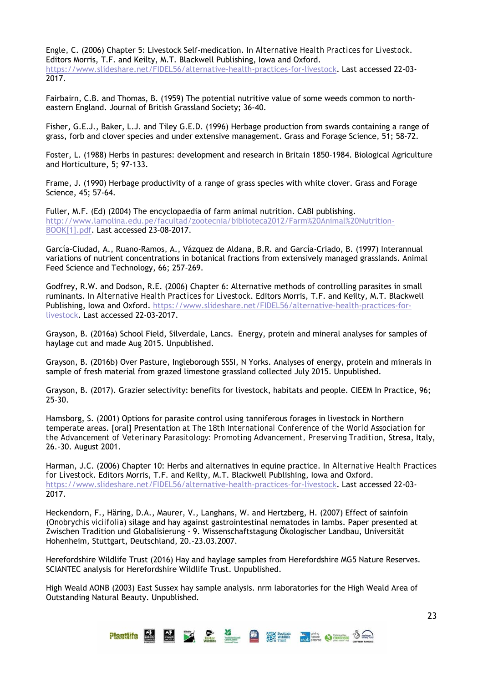Engle, C. (2006) Chapter 5: Livestock Self-medication. In *Alternative Health Practices for Livestock*. Editors Morris, T.F. and Keilty, M.T. Blackwell Publishing, Iowa and Oxford. https://www.slideshare.net/FIDEL56/alternative-health-practices-for-livestock. Last accessed 22-03- 2017.

Fairbairn, C.B. and Thomas, B. (1959) The potential nutritive value of some weeds common to northeastern England. Journal of British Grassland Society; 36-40.

Fisher, G.E.J., Baker, L.J. and Tiley G.E.D. (1996) Herbage production from swards containing a range of grass, forb and clover species and under extensive management. Grass and Forage Science, 51; 58-72.

Foster, L. (1988) Herbs in pastures: development and research in Britain 1850-1984. Biological Agriculture and Horticulture, 5; 97-133.

Frame, J. (1990) Herbage productivity of a range of grass species with white clover. Grass and Forage Science, 45; 57-64.

Fuller, M.F. (Ed) (2004) The encyclopaedia of farm animal nutrition. CABI publishing. http://www.lamolina.edu.pe/facultad/zootecnia/biblioteca2012/Farm%20Animal%20Nutrition-BOOK[1].pdf. Last accessed 23-08-2017.

García-Ciudad, A., Ruano-Ramos, A., Vázquez de Aldana, B.R. and García-Criado, B. (1997) Interannual variations of nutrient concentrations in botanical fractions from extensively managed grasslands. Animal Feed Science and Technology, 66; 257-269.

Godfrey, R.W. and Dodson, R.E. (2006) Chapter 6: Alternative methods of controlling parasites in small ruminants. In *Alternative Health Practices for Livestock*. Editors Morris, T.F. and Keilty, M.T. Blackwell Publishing, Iowa and Oxford. https://www.slideshare.net/FIDEL56/alternative-health-practices-forlivestock. Last accessed 22-03-2017.

Grayson, B. (2016a) School Field, Silverdale, Lancs. Energy, protein and mineral analyses for samples of haylage cut and made Aug 2015. Unpublished.

Grayson, B. (2016b) Over Pasture, Ingleborough SSSI, N Yorks. Analyses of energy, protein and minerals in sample of fresh material from grazed limestone grassland collected July 2015. Unpublished.

Grayson, B. (2017). Grazier selectivity: benefits for livestock, habitats and people. CIEEM In Practice, 96; 25-30.

Hamsborg, S. (2001) Options for parasite control using tanniferous forages in livestock in Northern temperate areas. [oral] Presentation at *The 18th International Conference of the World Association for the Advancement of Veterinary Parasitology: Promoting Advancement, Preserving Tradition*, Stresa, Italy, 26.-30. August 2001.

Harman, J.C. (2006) Chapter 10: Herbs and alternatives in equine practice. In *Alternative Health Practices for Livestock*. Editors Morris, T.F. and Keilty, M.T. Blackwell Publishing, Iowa and Oxford. https://www.slideshare.net/FIDEL56/alternative-health-practices-for-livestock. Last accessed 22-03- 2017.

Heckendorn, F., Häring, D.A., Maurer, V., Langhans, W. and Hertzberg, H. (2007) Effect of sainfoin (*Onobrychis viciifolia*) silage and hay against gastrointestinal nematodes in lambs. Paper presented at Zwischen Tradition und Globalisierung - 9. Wissenschaftstagung Ökologischer Landbau, Universität Hohenheim, Stuttgart, Deutschland, 20.-23.03.2007.

Herefordshire Wildlife Trust (2016) Hay and haylage samples from Herefordshire MG5 Nature Reserves. SCIANTEC analysis for Herefordshire Wildlife Trust. Unpublished.

High Weald AONB (2003) East Sussex hay sample analysis. nrm laboratories for the High Weald Area of Outstanding Natural Beauty. Unpublished.

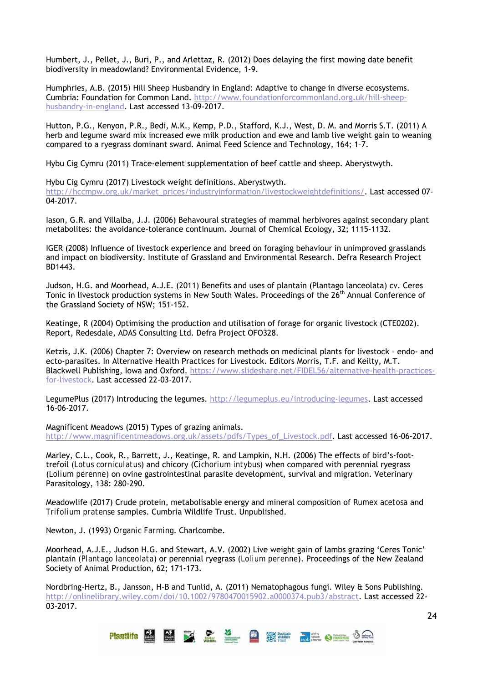Humbert, J., Pellet, J., Buri, P., and Arlettaz, R. (2012) Does delaying the first mowing date benefit biodiversity in meadowland? Environmental Evidence, 1-9.

Humphries, A.B. (2015*)* Hill Sheep Husbandry in England: Adaptive to change in diverse ecosystems. Cumbria: Foundation for Common Land. http://www.foundationforcommonland.org.uk/hill-sheephusbandry-in-england. Last accessed 13-09-2017.

Hutton, P.G., Kenyon, P.R., Bedi, M.K., Kemp, P.D., Stafford, K.J., West, D. M. and Morris S.T. (2011) A herb and legume sward mix increased ewe milk production and ewe and lamb live weight gain to weaning compared to a ryegrass dominant sward. Animal Feed Science and Technology, 164; 1–7.

Hybu Cig Cymru (2011) Trace-element supplementation of beef cattle and sheep. Aberystwyth.

Hybu Cig Cymru (2017) Livestock weight definitions. Aberystwyth.

http://hccmpw.org.uk/market\_prices/industryinformation/livestockweightdefinitions/. Last accessed 07-04-2017.

Iason, G.R. and Villalba, J.J. (2006) Behavoural strategies of mammal herbivores against secondary plant metabolites: the avoidance-tolerance continuum. Journal of Chemical Ecology, 32; 1115-1132.

IGER (2008) Influence of livestock experience and breed on foraging behaviour in unimproved grasslands and impact on biodiversity. Institute of Grassland and Environmental Research. Defra Research Project BD1443.

Judson, H.G. and Moorhead, A.J.E. (2011) Benefits and uses of plantain (Plantago lanceolata) cv. Ceres Tonic in livestock production systems in New South Wales. Proceedings of the 26<sup>th</sup> Annual Conference of the Grassland Society of NSW; 151-152.

Keatinge, R (2004) Optimising the production and utilisation of forage for organic livestock (CTE0202). Report, Redesdale, ADAS Consulting Ltd. Defra Project OFO328.

Ketzis, J.K. (2006) Chapter 7: Overview on research methods on medicinal plants for livestock – endo- and ecto-parasites. In Alternative Health Practices for Livestock. Editors Morris, T.F. and Keilty, M.T. Blackwell Publishing, Iowa and Oxford. https://www.slideshare.net/FIDEL56/alternative-health-practicesfor-livestock. Last accessed 22-03-2017.

LegumePlus (2017) Introducing the legumes. http://legumeplus.eu/introducing-legumes. Last accessed 16-06-2017.

Magnificent Meadows (2015) Types of grazing animals. http://www.magnificentmeadows.org.uk/assets/pdfs/Types\_of\_Livestock.pdf. Last accessed 16-06-2017.

Marley, C.L., Cook, R., Barrett, J., Keatinge, R. and Lampkin, N.H. (2006) The effects of bird's-foottrefoil (*Lotus corniculatus*) and chicory (*Cichorium intybus*) when compared with perennial ryegrass (*Lolium perenne*) on ovine gastrointestinal parasite development, survival and migration. Veterinary Parasitology, 138: 280-290.

Meadowlife (2017) Crude protein, metabolisable energy and mineral composition of *Rumex acetosa* and *Trifolium pratense* samples. Cumbria Wildlife Trust. Unpublished.

Newton, J. (1993) *Organic Farming*. Charlcombe.

Moorhead, A.J.E., Judson H.G. and Stewart, A.V. (2002) Live weight gain of lambs grazing 'Ceres Tonic' plantain (*Plantago lanceolata*) or perennial ryegrass (*Lolium perenne*). Proceedings of the New Zealand Society of Animal Production, 62; 171-173.

Nordbring-Hertz, B., Jansson, H-B and Tunlid, A. (2011) Nematophagous fungi. Wiley & Sons Publishing. http://onlinelibrary.wiley.com/doi/10.1002/9780470015902.a0000374.pub3/abstract. Last accessed 22-03-2017.

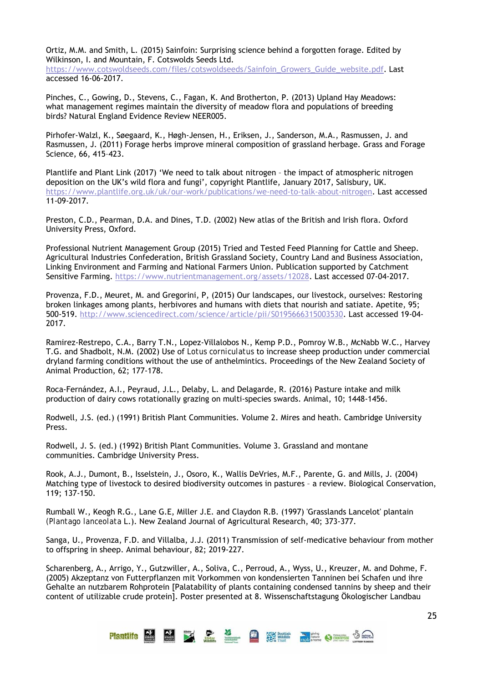Ortiz, M.M. and Smith, L. (2015) Sainfoin: Surprising science behind a forgotten forage. Edited by Wilkinson, I. and Mountain, F. Cotswolds Seeds Ltd.

https://www.cotswoldseeds.com/files/cotswoldseeds/Sainfoin\_Growers\_Guide\_website.pdf. Last accessed 16-06-2017.

Pinches, C., Gowing, D., Stevens, C., Fagan, K. And Brotherton, P. (2013) Upland Hay Meadows: what management regimes maintain the diversity of meadow flora and populations of breeding birds? Natural England Evidence Review NEER005.

Pirhofer-Walzl, K., Søegaard, K., Høgh-Jensen, H., Eriksen, J., Sanderson, M.A., Rasmussen, J. and Rasmussen, J. (2011) Forage herbs improve mineral composition of grassland herbage. Grass and Forage Science, 66, 415–423.

Plantlife and Plant Link (2017) 'We need to talk about nitrogen – the impact of atmospheric nitrogen deposition on the UK's wild flora and fungi', copyright Plantlife, January 2017, Salisbury, UK. https://www.plantlife.org.uk/uk/our-work/publications/we-need-to-talk-about-nitrogen. Last accessed 11-09-2017.

Preston, C.D., Pearman, D.A. and Dines, T.D. (2002) New atlas of the British and Irish flora. Oxford University Press, Oxford.

Professional Nutrient Management Group (2015) Tried and Tested Feed Planning for Cattle and Sheep. Agricultural Industries Confederation, British Grassland Society, Country Land and Business Association, Linking Environment and Farming and National Farmers Union. Publication supported by Catchment Sensitive Farming. https://www.nutrientmanagement.org/assets/12028. Last accessed 07-04-2017.

Provenza, F.D., Meuret, M. and Gregorini, P, (2015) Our landscapes, our livestock, ourselves: Restoring broken linkages among plants, herbivores and humans with diets that nourish and satiate. Apetite, 95; 500-519. http://www.sciencedirect.com/science/article/pii/S0195666315003530. Last accessed 19-04- 2017.

Ramirez-Restrepo, C.A., Barry T.N., Lopez-Villalobos N., Kemp P.D., Pomroy W.B., McNabb W.C., Harvey T.G. and Shadbolt, N.M. (2002) Use of *Lotus corniculatus* to increase sheep production under commercial dryland farming conditions without the use of anthelmintics. Proceedings of the New Zealand Society of Animal Production, 62; 177-178.

Roca-Fernández, A.I., Peyraud, J.L., Delaby, L. and Delagarde, R. (2016) Pasture intake and milk production of dairy cows rotationally grazing on multi-species swards. Animal, 10; 1448-1456.

Rodwell, J.S. (ed.) (1991) British Plant Communities. Volume 2. Mires and heath. Cambridge University Press.

Rodwell, J. S. (ed.) (1992) British Plant Communities. Volume 3. Grassland and montane communities. Cambridge University Press.

Rook, A.J., Dumont, B., Isselstein, J., Osoro, K., Wallis DeVries, M.F., Parente, G. and Mills, J. (2004) Matching type of livestock to desired biodiversity outcomes in pastures – a review. Biological Conservation, 119; 137-150.

Rumball W., Keogh R.G., Lane G.E, Miller J.E. and Claydon R.B. (1997) 'Grasslands Lancelot' plantain *(Plantago lanceolata* L.). New Zealand Journal of Agricultural Research, 40; 373-377.

Sanga, U., Provenza, F.D. and Villalba, J.J. (2011) Transmission of self-medicative behaviour from mother to offspring in sheep. Animal behaviour, 82; 2019-227.

Scharenberg, A., Arrigo, Y., Gutzwiller, A., Soliva, C., Perroud, A., Wyss, U., Kreuzer, M. and Dohme, F. (2005) Akzeptanz von Futterpflanzen mit Vorkommen von kondensierten Tanninen bei Schafen und ihre Gehalte an nutzbarem Rohprotein [Palatability of plants containing condensed tannins by sheep and their content of utilizable crude protein]. Poster presented at 8. Wissenschaftstagung Ökologischer Landbau

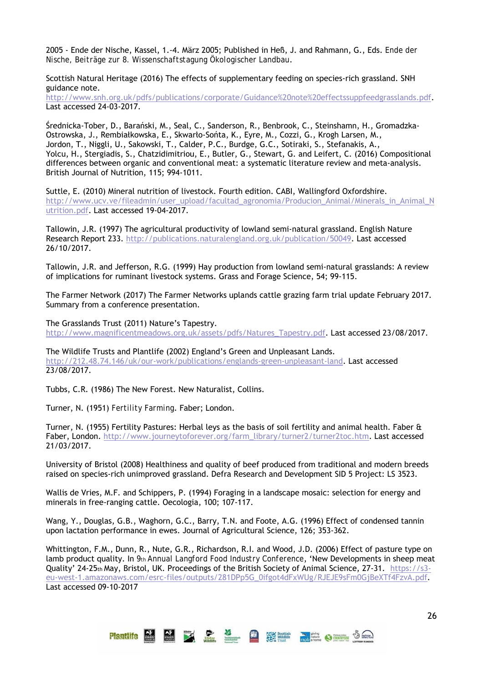2005 - Ende der Nische, Kassel, 1.-4. März 2005; Published in Heß, J. and Rahmann, G., Eds. *Ende der Nische, Beiträge zur 8. Wissenschaftstagung Ökologischer Landbau*.

Scottish Natural Heritage (2016) The effects of supplementary feeding on species-rich grassland. SNH guidance note.

http://www.snh.org.uk/pdfs/publications/corporate/Guidance%20note%20effectssuppfeedgrasslands.pdf. Last accessed 24-03-2017.

Średnicka-Tober, D., Barański, M., Seal, C., Sanderson, R., Benbrook, C., Steinshamn, H., Gromadzka-Ostrowska, J., Rembiałkowska, E., Skwarło-Sońta, K., Eyre, M., Cozzi, G., Krogh Larsen, M., Jordon, T., Niggli, U., Sakowski, T., Calder, P.C., Burdge, G.C., Sotiraki, S., Stefanakis, A., Yolcu, H., Stergiadis, S., Chatzidimitriou, E., Butler, G., Stewart, G. and Leifert, C. (2016) Compositional differences between organic and conventional meat: a systematic literature review and meta-analysis. British Journal of Nutrition, 115; 994-1011.

Suttle, E. (2010) Mineral nutrition of livestock. Fourth edition. CABI, Wallingford Oxfordshire. http://www.ucv.ve/fileadmin/user\_upload/facultad\_agronomia/Producion\_Animal/Minerals\_in\_Animal\_N utrition.pdf. Last accessed 19-04-2017.

Tallowin, J.R. (1997) The agricultural productivity of lowland semi-natural grassland. English Nature Research Report 233. http://publications.naturalengland.org.uk/publication/50049. Last accessed 26/10/2017.

Tallowin, J.R. and Jefferson, R.G. (1999) Hay production from lowland semi-natural grasslands: A review of implications for ruminant livestock systems. Grass and Forage Science, 54; 99-115.

The Farmer Network (2017) The Farmer Networks uplands cattle grazing farm trial update February 2017. Summary from a conference presentation.

The Grasslands Trust (2011) Nature's Tapestry. http://www.magnificentmeadows.org.uk/assets/pdfs/Natures\_Tapestry.pdf. Last accessed 23/08/2017.

The Wildlife Trusts and Plantlife (2002) England's Green and Unpleasant Lands. http://212.48.74.146/uk/our-work/publications/englands-green-unpleasant-land. Last accessed 23/08/2017.

Tubbs, C.R. (1986) The New Forest. New Naturalist, Collins.

Turner, N. (1951) *Fertility Farming*. Faber; London.

Turner, N. (1955) Fertility Pastures: Herbal leys as the basis of soil fertility and animal health. Faber & Faber, London. http://www.journeytoforever.org/farm\_library/turner2/turner2toc.htm. Last accessed 21/03/2017.

University of Bristol (2008) Healthiness and quality of beef produced from traditional and modern breeds raised on species-rich unimproved grassland. Defra Research and Development SID 5 Project: LS 3523.

Wallis de Vries, M.F. and Schippers, P. (1994) Foraging in a landscape mosaic: selection for energy and minerals in free-ranging cattle. Oecologia, 100; 107-117.

Wang, Y., Douglas, G.B., Waghorn, G.C., Barry, T.N. and Foote, A.G. (1996) Effect of condensed tannin upon lactation performance in ewes. Journal of Agricultural Science, 126; 353-362.

Whittington, F.M., Dunn, R., Nute, G.R., Richardson, R.I. and Wood, J.D. (2006) Effect of pasture type on lamb product quality. In *9th Annual Langford Food Industry Conference*, 'New Developments in sheep meat Quality' 24-25th May, Bristol, UK. Proceedings of the British Society of Animal Science, 27-31. https://s3 eu-west-1.amazonaws.com/esrc-files/outputs/281DPp5G\_0ifgot4dFxWUg/RJEJE9sFm0GjBeXTf4FzvA.pdf. Last accessed 09-10-2017